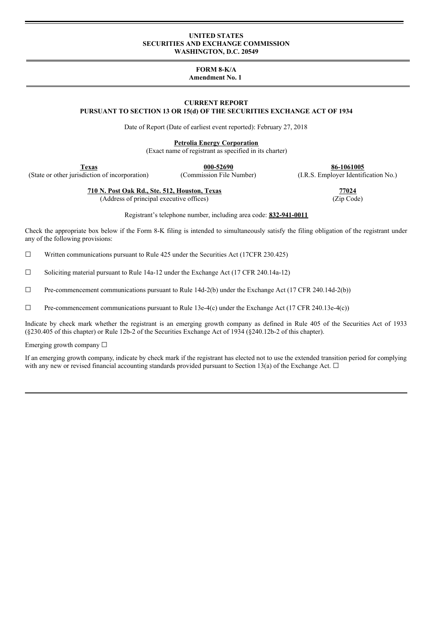#### **UNITED STATES SECURITIES AND EXCHANGE COMMISSION WASHINGTON, D.C. 20549**

# **FORM 8-K/A**

# **Amendment No. 1**

#### **CURRENT REPORT PURSUANT TO SECTION 13 OR 15(d) OF THE SECURITIES EXCHANGE ACT OF 1934**

Date of Report (Date of earliest event reported): February 27, 2018

**Petrolia Energy Corporation**

(Exact name of registrant as specified in its charter)

(State or other jurisdiction of incorporation) (Commission File Number) (I.R.S. Employer Identification No.)

**Texas 000-52690 86-1061005**

**710 N. Post Oak Rd., Ste. 512, Houston, Texas 77024**

(Address of principal executive offices) (Zip Code)

Registrant's telephone number, including area code: **832-941-0011**

Check the appropriate box below if the Form 8-K filing is intended to simultaneously satisfy the filing obligation of the registrant under any of the following provisions:

 $\Box$  Written communications pursuant to Rule 425 under the Securities Act (17CFR 230.425)

 $\Box$  Soliciting material pursuant to Rule 14a-12 under the Exchange Act (17 CFR 240.14a-12)

 $\Box$  Pre-commencement communications pursuant to Rule 14d-2(b) under the Exchange Act (17 CFR 240.14d-2(b))

 $\Box$  Pre-commencement communications pursuant to Rule 13e-4(c) under the Exchange Act (17 CFR 240.13e-4(c))

Indicate by check mark whether the registrant is an emerging growth company as defined in Rule 405 of the Securities Act of 1933 (§230.405 of this chapter) or Rule 12b-2 of the Securities Exchange Act of 1934 (§240.12b-2 of this chapter).

Emerging growth company ☐

If an emerging growth company, indicate by check mark if the registrant has elected not to use the extended transition period for complying with any new or revised financial accounting standards provided pursuant to Section 13(a) of the Exchange Act.  $\Box$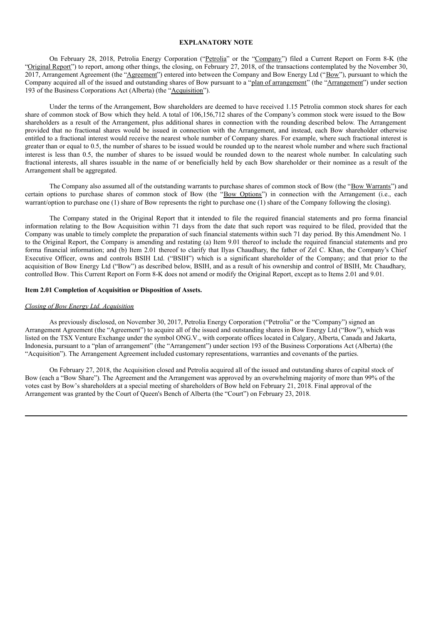#### **EXPLANATORY NOTE**

On February 28, 2018, Petrolia Energy Corporation ("Petrolia" or the "Company") filed a Current Report on Form 8-K (the "Original Report") to report, among other things, the closing, on February 27, 2018, of the transactions contemplated by the November 30, 2017, Arrangement Agreement (the "Agreement") entered into between the Company and Bow Energy Ltd ("Bow"), pursuant to which the Company acquired all of the issued and outstanding shares of Bow pursuant to a "plan of arrangement" (the "Arrangement") under section 193 of the Business Corporations Act (Alberta) (the "Acquisition").

Under the terms of the Arrangement, Bow shareholders are deemed to have received 1.15 Petrolia common stock shares for each share of common stock of Bow which they held. A total of 106,156,712 shares of the Company's common stock were issued to the Bow shareholders as a result of the Arrangement, plus additional shares in connection with the rounding described below. The Arrangement provided that no fractional shares would be issued in connection with the Arrangement, and instead, each Bow shareholder otherwise entitled to a fractional interest would receive the nearest whole number of Company shares. For example, where such fractional interest is greater than or equal to 0.5, the number of shares to be issued would be rounded up to the nearest whole number and where such fractional interest is less than 0.5, the number of shares to be issued would be rounded down to the nearest whole number. In calculating such fractional interests, all shares issuable in the name of or beneficially held by each Bow shareholder or their nominee as a result of the Arrangement shall be aggregated.

The Company also assumed all of the outstanding warrants to purchase shares of common stock of Bow (the "Bow Warrants") and certain options to purchase shares of common stock of Bow (the "Bow Options") in connection with the Arrangement (i.e., each warrant/option to purchase one (1) share of Bow represents the right to purchase one (1) share of the Company following the closing).

The Company stated in the Original Report that it intended to file the required financial statements and pro forma financial information relating to the Bow Acquisition within 71 days from the date that such report was required to be filed, provided that the Company was unable to timely complete the preparation of such financial statements within such 71 day period. By this Amendment No. 1 to the Original Report, the Company is amending and restating (a) Item 9.01 thereof to include the required financial statements and pro forma financial information; and (b) Item 2.01 thereof to clarify that Ilyas Chaudhary, the father of Zel C. Khan, the Company's Chief Executive Officer, owns and controls BSIH Ltd. ("BSIH") which is a significant shareholder of the Company; and that prior to the acquisition of Bow Energy Ltd ("Bow") as described below, BSIH, and as a result of his ownership and control of BSIH, Mr. Chaudhary, controlled Bow. This Current Report on Form 8-K does not amend or modify the Original Report, except as to Items 2.01 and 9.01.

#### **Item 2.01 Completion of Acquisition or Disposition of Assets.**

#### *Closing of Bow Energy Ltd. Acquisition*

As previously disclosed, on November 30, 2017, Petrolia Energy Corporation ("Petrolia" or the "Company") signed an Arrangement Agreement (the "Agreement") to acquire all of the issued and outstanding shares in Bow Energy Ltd ("Bow"), which was listed on the TSX Venture Exchange under the symbol ONG.V., with corporate offices located in Calgary, Alberta, Canada and Jakarta, Indonesia, pursuant to a "plan of arrangement" (the "Arrangement") under section 193 of the Business Corporations Act (Alberta) (the "Acquisition"). The Arrangement Agreement included customary representations, warranties and covenants of the parties.

On February 27, 2018, the Acquisition closed and Petrolia acquired all of the issued and outstanding shares of capital stock of Bow (each a "Bow Share"). The Agreement and the Arrangement was approved by an overwhelming majority of more than 99% of the votes cast by Bow's shareholders at a special meeting of shareholders of Bow held on February 21, 2018. Final approval of the Arrangement was granted by the Court of Queen's Bench of Alberta (the "Court") on February 23, 2018.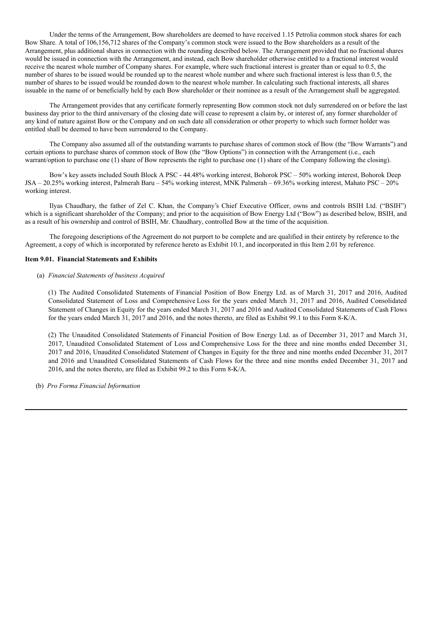Under the terms of the Arrangement, Bow shareholders are deemed to have received 1.15 Petrolia common stock shares for each Bow Share. A total of 106,156,712 shares of the Company's common stock were issued to the Bow shareholders as a result of the Arrangement, plus additional shares in connection with the rounding described below. The Arrangement provided that no fractional shares would be issued in connection with the Arrangement, and instead, each Bow shareholder otherwise entitled to a fractional interest would receive the nearest whole number of Company shares. For example, where such fractional interest is greater than or equal to 0.5, the number of shares to be issued would be rounded up to the nearest whole number and where such fractional interest is less than 0.5, the number of shares to be issued would be rounded down to the nearest whole number. In calculating such fractional interests, all shares issuable in the name of or beneficially held by each Bow shareholder or their nominee as a result of the Arrangement shall be aggregated.

The Arrangement provides that any certificate formerly representing Bow common stock not duly surrendered on or before the last business day prior to the third anniversary of the closing date will cease to represent a claim by, or interest of, any former shareholder of any kind of nature against Bow or the Company and on such date all consideration or other property to which such former holder was entitled shall be deemed to have been surrendered to the Company.

The Company also assumed all of the outstanding warrants to purchase shares of common stock of Bow (the "Bow Warrants") and certain options to purchase shares of common stock of Bow (the "Bow Options") in connection with the Arrangement (i.e., each warrant/option to purchase one (1) share of Bow represents the right to purchase one (1) share of the Company following the closing).

Bow's key assets included South Block A PSC - 44.48% working interest, Bohorok PSC – 50% working interest, Bohorok Deep JSA – 20.25% working interest, Palmerah Baru – 54% working interest, MNK Palmerah – 69.36% working interest, Mahato PSC – 20% working interest.

Ilyas Chaudhary, the father of Zel C. Khan, the Company's Chief Executive Officer, owns and controls BSIH Ltd. ("BSIH") which is a significant shareholder of the Company; and prior to the acquisition of Bow Energy Ltd ("Bow") as described below, BSIH, and as a result of his ownership and control of BSIH, Mr. Chaudhary, controlled Bow at the time of the acquisition.

The foregoing descriptions of the Agreement do not purport to be complete and are qualified in their entirety by reference to the Agreement, a copy of which is incorporated by reference hereto as Exhibit 10.1, and incorporated in this Item 2.01 by reference.

#### **Item 9.01. Financial Statements and Exhibits**

#### (a) *Financial Statements of business Acquired*

(1) The Audited Consolidated Statements of Financial Position of Bow Energy Ltd. as of March 31, 2017 and 2016, Audited Consolidated Statement of Loss and Comprehensive Loss for the years ended March 31, 2017 and 2016, Audited Consolidated Statement of Changes in Equity for the years ended March 31, 2017 and 2016 and Audited Consolidated Statements of Cash Flows for the years ended March 31, 2017 and 2016, and the notes thereto, are filed as Exhibit 99.1 to this Form 8-K/A.

(2) The Unaudited Consolidated Statements of Financial Position of Bow Energy Ltd. as of December 31, 2017 and March 31, 2017, Unaudited Consolidated Statement of Loss and Comprehensive Loss for the three and nine months ended December 31, 2017 and 2016, Unaudited Consolidated Statement of Changes in Equity for the three and nine months ended December 31, 2017 and 2016 and Unaudited Consolidated Statements of Cash Flows for the three and nine months ended December 31, 2017 and 2016, and the notes thereto, are filed as Exhibit 99.2 to this Form 8-K/A.

(b) *Pro Forma Financial Information*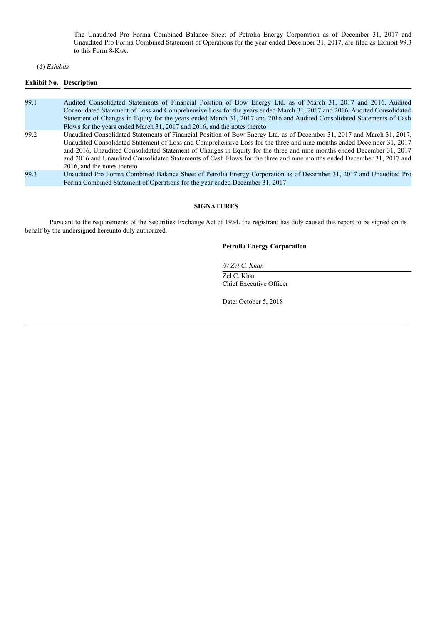The Unaudited Pro Forma Combined Balance Sheet of Petrolia Energy Corporation as of December 31, 2017 and Unaudited Pro Forma Combined Statement of Operations for the year ended December 31, 2017, are filed as Exhibit 99.3 to this Form 8-K/A.

## (d) *Exhibits*

# **Exhibit No. Description**

| 99.1 | Audited Consolidated Statements of Financial Position of Bow Energy Ltd. as of March 31, 2017 and 2016, Audited<br>Consolidated Statement of Loss and Comprehensive Loss for the years ended March 31, 2017 and 2016, Audited Consolidated<br>Statement of Changes in Equity for the years ended March 31, 2017 and 2016 and Audited Consolidated Statements of Cash<br>Flows for the years ended March 31, 2017 and 2016, and the notes thereto                                                                                  |
|------|-----------------------------------------------------------------------------------------------------------------------------------------------------------------------------------------------------------------------------------------------------------------------------------------------------------------------------------------------------------------------------------------------------------------------------------------------------------------------------------------------------------------------------------|
| 99.2 | Unaudited Consolidated Statements of Financial Position of Bow Energy Ltd. as of December 31, 2017 and March 31, 2017,<br>Unaudited Consolidated Statement of Loss and Comprehensive Loss for the three and nine months ended December 31, 2017<br>and 2016, Unaudited Consolidated Statement of Changes in Equity for the three and nine months ended December 31, 2017<br>and 2016 and Unaudited Consolidated Statements of Cash Flows for the three and nine months ended December 31, 2017 and<br>2016, and the notes thereto |
| 99.3 | Unaudited Pro Forma Combined Balance Sheet of Petrolia Energy Corporation as of December 31, 2017 and Unaudited Pro<br>Forma Combined Statement of Operations for the year ended December 31, 2017                                                                                                                                                                                                                                                                                                                                |

#### **SIGNATURES**

Pursuant to the requirements of the Securities Exchange Act of 1934, the registrant has duly caused this report to be signed on its behalf by the undersigned hereunto duly authorized.

## **Petrolia Energy Corporation**

*/s/ Zel C. Khan*

Zel C. Khan Chief Executive Officer

Date: October 5, 2018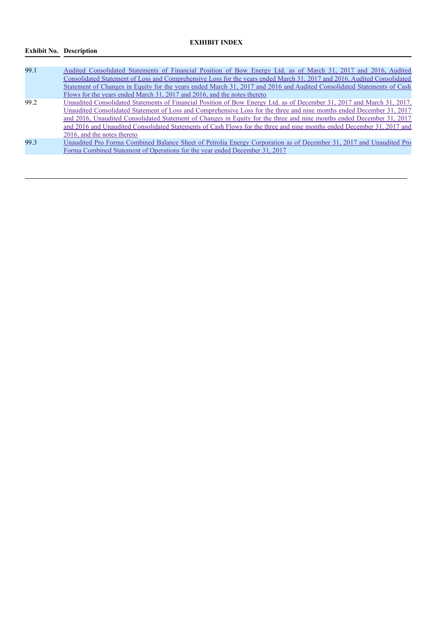# **EXHIBIT INDEX**

# **Exhibit No. Description**

| 99.1 | Audited Consolidated Statements of Financial Position of Bow Energy Ltd. as of March 31, 2017 and 2016, Audited<br>Consolidated Statement of Loss and Comprehensive Loss for the years ended March 31, 2017 and 2016, Audited Consolidated<br>Statement of Changes in Equity for the years ended March 31, 2017 and 2016 and Audited Consolidated Statements of Cash<br>Flows for the years ended March 31, 2017 and 2016, and the notes thereto                                                                                  |
|------|-----------------------------------------------------------------------------------------------------------------------------------------------------------------------------------------------------------------------------------------------------------------------------------------------------------------------------------------------------------------------------------------------------------------------------------------------------------------------------------------------------------------------------------|
| 99.2 | Unaudited Consolidated Statements of Financial Position of Bow Energy Ltd. as of December 31, 2017 and March 31, 2017,<br>Unaudited Consolidated Statement of Loss and Comprehensive Loss for the three and nine months ended December 31, 2017<br>and 2016, Unaudited Consolidated Statement of Changes in Equity for the three and nine months ended December 31, 2017<br>and 2016 and Unaudited Consolidated Statements of Cash Flows for the three and nine months ended December 31, 2017 and<br>2016, and the notes thereto |
| 99.3 | Unaudited Pro Forma Combined Balance Sheet of Petrolia Energy Corporation as of December 31, 2017 and Unaudited Pro<br>Forma Combined Statement of Operations for the year ended December 31, 2017                                                                                                                                                                                                                                                                                                                                |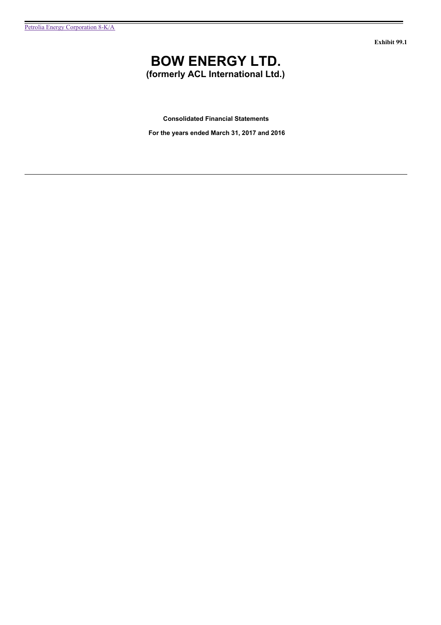**Exhibit 99.1**

# **BOW ENERGY LTD.**

**(formerly ACL International Ltd.)**

**Consolidated Financial Statements**

**For the years ended March 31, 2017 and 2016**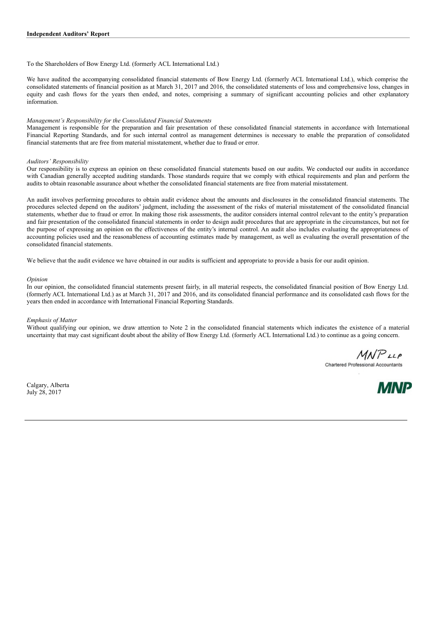To the Shareholders of Bow Energy Ltd. (formerly ACL International Ltd.)

We have audited the accompanying consolidated financial statements of Bow Energy Ltd. (formerly ACL International Ltd.), which comprise the consolidated statements of financial position as at March 31, 2017 and 2016, the consolidated statements of loss and comprehensive loss, changes in equity and cash flows for the years then ended, and notes, comprising a summary of significant accounting policies and other explanatory information.

#### *Management's Responsibility for the Consolidated Financial Statements*

Management is responsible for the preparation and fair presentation of these consolidated financial statements in accordance with International Financial Reporting Standards, and for such internal control as management determines is necessary to enable the preparation of consolidated financial statements that are free from material misstatement, whether due to fraud or error.

#### *Auditors' Responsibility*

Our responsibility is to express an opinion on these consolidated financial statements based on our audits. We conducted our audits in accordance with Canadian generally accepted auditing standards. Those standards require that we comply with ethical requirements and plan and perform the audits to obtain reasonable assurance about whether the consolidated financial statements are free from material misstatement.

An audit involves performing procedures to obtain audit evidence about the amounts and disclosures in the consolidated financial statements. The procedures selected depend on the auditors' judgment, including the assessment of the risks of material misstatement of the consolidated financial statements, whether due to fraud or error. In making those risk assessments, the auditor considers internal control relevant to the entity's preparation and fair presentation of the consolidated financial statements in order to design audit procedures that are appropriate in the circumstances, but not for the purpose of expressing an opinion on the effectiveness of the entity's internal control. An audit also includes evaluating the appropriateness of accounting policies used and the reasonableness of accounting estimates made by management, as well as evaluating the overall presentation of the consolidated financial statements.

We believe that the audit evidence we have obtained in our audits is sufficient and appropriate to provide a basis for our audit opinion.

#### *Opinion*

In our opinion, the consolidated financial statements present fairly, in all material respects, the consolidated financial position of Bow Energy Ltd. (formerly ACL International Ltd.) as at March 31, 2017 and 2016, and its consolidated financial performance and its consolidated cash flows for the years then ended in accordance with International Financial Reporting Standards.

#### *Emphasis of Matter*

Without qualifying our opinion, we draw attention to Note 2 in the consolidated financial statements which indicates the existence of a material uncertainty that may cast significant doubt about the ability of Bow Energy Ltd. (formerly ACL International Ltd.) to continue as a going concern.

 $MNP$ <sub>LLP</sub>

Chartered Professional Accountants

Calgary, Alberta July 28, 2017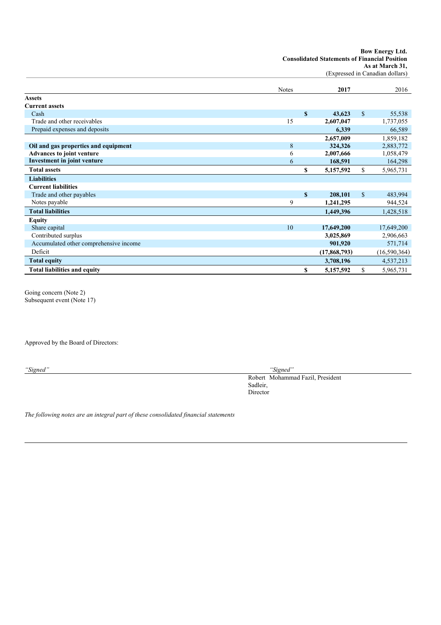| <b>Bow Energy Ltd.</b>                               |
|------------------------------------------------------|
| <b>Consolidated Statements of Financial Position</b> |
| As at March 31,                                      |

(Expressed in Canadian dollars)

|                                        | <b>Notes</b> |             | 2017         |             | 2016         |
|----------------------------------------|--------------|-------------|--------------|-------------|--------------|
| <b>Assets</b>                          |              |             |              |             |              |
| <b>Current assets</b>                  |              |             |              |             |              |
| Cash                                   |              | \$          | 43,623       | $\mathbf S$ | 55,538       |
| Trade and other receivables            | 15           |             | 2,607,047    |             | 1,737,055    |
| Prepaid expenses and deposits          |              |             | 6,339        |             | 66,589       |
|                                        |              |             | 2,657,009    |             | 1,859,182    |
| Oil and gas properties and equipment   | 8            |             | 324,326      |             | 2,883,772    |
| <b>Advances to joint venture</b>       | 6            |             | 2,007,666    |             | 1,058,479    |
| <b>Investment in joint venture</b>     | 6            |             | 168,591      |             | 164,298      |
| <b>Total assets</b>                    |              | \$          | 5,157,592    | \$          | 5,965,731    |
| <b>Liabilities</b>                     |              |             |              |             |              |
| <b>Current liabilities</b>             |              |             |              |             |              |
| Trade and other payables               |              | $\mathbf S$ | 208,101      | $\mathbf S$ | 483,994      |
| Notes payable                          | 9            |             | 1,241,295    |             | 944,524      |
| <b>Total liabilities</b>               |              |             | 1,449,396    |             | 1,428,518    |
| <b>Equity</b>                          |              |             |              |             |              |
| Share capital                          | 10           |             | 17,649,200   |             | 17,649,200   |
| Contributed surplus                    |              |             | 3,025,869    |             | 2,906,663    |
| Accumulated other comprehensive income |              |             | 901,920      |             | 571,714      |
| Deficit                                |              |             | (17,868,793) |             | (16,590,364) |
| <b>Total equity</b>                    |              |             | 3,708,196    |             | 4,537,213    |
| <b>Total liabilities and equity</b>    |              | \$          | 5,157,592    | \$          | 5,965,731    |

Going concern (Note 2) Subsequent event (Note 17)

Approved by the Board of Directors:

*"Signed" "Signed"*

Robert Mohammad Fazil, President Sadleir, Director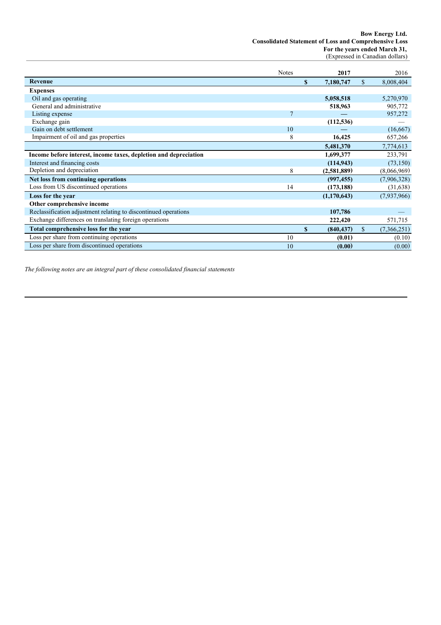**Bow Energy Ltd. Consolidated Statement of Loss and Comprehensive Loss For the years ended March 31,** (Expressed in Canadian dollars)

|                                                                  | <b>Notes</b>   |              | 2017        | 2016              |
|------------------------------------------------------------------|----------------|--------------|-------------|-------------------|
| <b>Revenue</b>                                                   |                | S            | 7,180,747   | \$<br>8,008,404   |
| <b>Expenses</b>                                                  |                |              |             |                   |
| Oil and gas operating                                            |                |              | 5,058,518   | 5,270,970         |
| General and administrative                                       |                |              | 518,963     | 905,772           |
| Listing expense                                                  | $\overline{7}$ |              |             | 957,272           |
| Exchange gain                                                    |                |              | (112, 536)  |                   |
| Gain on debt settlement                                          | 10             |              |             | (16, 667)         |
| Impairment of oil and gas properties                             | 8              |              | 16,425      | 657,266           |
|                                                                  |                |              | 5,481,370   | 7,774,613         |
| Income before interest, income taxes, depletion and depreciation |                |              | 1,699,377   | 233,791           |
| Interest and financing costs                                     |                |              | (114, 943)  | (73, 150)         |
| Depletion and depreciation                                       | 8              |              | (2,581,889) | (8,066,969)       |
| Net loss from continuing operations                              |                |              | (997, 455)  | (7,906,328)       |
| Loss from US discontinued operations                             | 14             |              | (173, 188)  | (31, 638)         |
| Loss for the year                                                |                |              | (1,170,643) | (7,937,966)       |
| Other comprehensive income                                       |                |              |             |                   |
| Reclassification adjustment relating to discontinued operations  |                |              | 107,786     |                   |
| Exchange differences on translating foreign operations           |                |              | 222,420     | 571,715           |
| Total comprehensive loss for the year                            |                | $\mathbf{s}$ | (840, 437)  | \$<br>(7,366,251) |
| Loss per share from continuing operations                        | 10             |              | (0.01)      | (0.10)            |
| Loss per share from discontinued operations                      | 10             |              | (0.00)      | (0.00)            |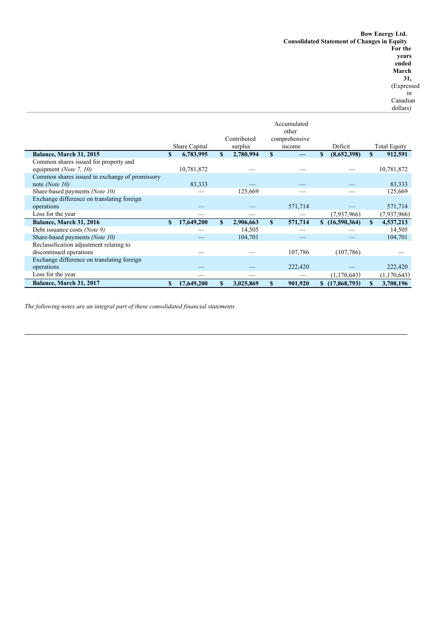dollars)

Share Capital Contributed surplus Accumulated other comprehensive income Deficit Total Equity **Balance, March 31, 2015 \$ 6,783,995 \$ 2,780,994 \$ — \$ (8,652,398) \$ 912,591** Common shares issued for property and equipment *(Note* 7, 10) 10,781,872 - - 10,781,872 Common shares issued in exchange of promissory note *(Note 10)* 83,333 — — — 83,333 Share-based payments *(Note 10)* — 125,669 — — 125,669 Exchange difference on translating foreign operations —  $-$  571,714  $-$  571,714  $-$  571,714 Loss for the year — — — (7,937,966) (7,937,966) **Balance, March 31, 2016 \$ 17,649,200 \$ 2,906,663 \$ 571,714 \$ (16,590,364) \$ 4,537,213**<br>Debt issuance costs (Note 9) **14,505 12,505 14,505** Debt issuance costs *(Note 9)* — 14,505<br>Shore hood normants *(Note 10)* — 104.701 Share-based payments *(Note 10)* — 104,701 — — 104,701 Reclassification adjustment relating to  $\frac{107,786}{107,786}$  (107,786) Exchange difference on translating foreign operations —  $-$  222,420  $-$  222,420  $-$  222,420 Loss for the year — — — — (1,170,643) (1,170,643) **Balance, March 31, 2017 \$ 17,649,200 \$ 3,025,869 \$ 901,920 \$ (17,868,793) \$ 3,708,196**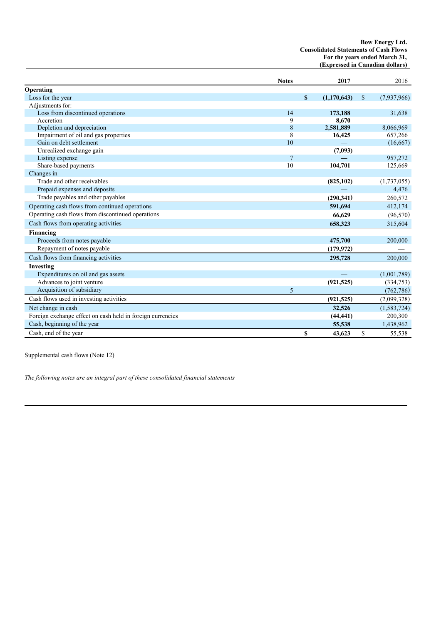#### **Bow Energy Ltd. Consolidated Statements of Cash Flows For the years ended March 31, (Expressed in Canadian dollars)**

|                                                            | <b>Notes</b>   | 2017              |              | 2016        |
|------------------------------------------------------------|----------------|-------------------|--------------|-------------|
| Operating                                                  |                |                   |              |             |
| Loss for the year                                          |                | \$<br>(1,170,643) | $\mathbb{S}$ | (7,937,966) |
| Adjustments for:                                           |                |                   |              |             |
| Loss from discontinued operations                          | 14             | 173,188           |              | 31,638      |
| Accretion                                                  | 9              | 8,670             |              |             |
| Depletion and depreciation                                 | 8              | 2,581,889         |              | 8,066,969   |
| Impairment of oil and gas properties                       | 8              | 16,425            |              | 657,266     |
| Gain on debt settlement                                    | 10             |                   |              | (16,667)    |
| Unrealized exchange gain                                   |                | (7,093)           |              |             |
| Listing expense                                            | $\overline{7}$ |                   |              | 957,272     |
| Share-based payments                                       | 10             | 104,701           |              | 125,669     |
| Changes in                                                 |                |                   |              |             |
| Trade and other receivables                                |                | (825, 102)        |              | (1,737,055) |
| Prepaid expenses and deposits                              |                |                   |              | 4,476       |
| Trade payables and other payables                          |                | (290, 341)        |              | 260,572     |
| Operating cash flows from continued operations             |                | 591,694           |              | 412,174     |
| Operating cash flows from discontinued operations          |                | 66,629            |              | (96, 570)   |
| Cash flows from operating activities                       |                | 658,323           |              | 315,604     |
| Financing                                                  |                |                   |              |             |
| Proceeds from notes payable                                |                | 475,700           |              | 200,000     |
| Repayment of notes payable                                 |                | (179, 972)        |              |             |
| Cash flows from financing activities                       |                | 295,728           |              | 200,000     |
| Investing                                                  |                |                   |              |             |
| Expenditures on oil and gas assets                         |                |                   |              | (1,001,789) |
| Advances to joint venture                                  |                | (921, 525)        |              | (334,753)   |
| Acquisition of subsidiary                                  | 5              |                   |              | (762, 786)  |
| Cash flows used in investing activities                    |                | (921, 525)        |              | (2,099,328) |
| Net change in cash                                         |                | 32,526            |              | (1,583,724) |
| Foreign exchange effect on cash held in foreign currencies |                | (44, 441)         |              | 200,300     |
| Cash, beginning of the year                                |                | 55,538            |              | 1,438,962   |
| Cash, end of the year                                      |                | \$<br>43.623      | $\mathbf S$  | 55,538      |

Supplemental cash flows (Note 12)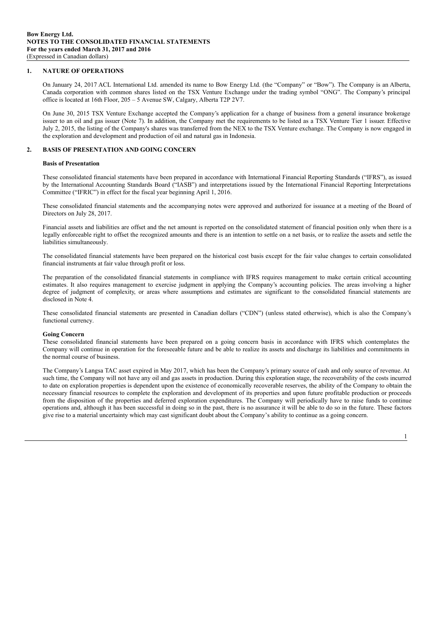#### **1. NATURE OF OPERATIONS**

On January 24, 2017 ACL International Ltd. amended its name to Bow Energy Ltd. (the "Company" or "Bow"). The Company is an Alberta, Canada corporation with common shares listed on the TSX Venture Exchange under the trading symbol "ONG". The Company's principal office is located at 16th Floor, 205 – 5 Avenue SW, Calgary, Alberta T2P 2V7.

On June 30, 2015 TSX Venture Exchange accepted the Company's application for a change of business from a general insurance brokerage issuer to an oil and gas issuer (Note 7). In addition, the Company met the requirements to be listed as a TSX Venture Tier 1 issuer. Effective July 2, 2015, the listing of the Company's shares was transferred from the NEX to the TSX Venture exchange. The Company is now engaged in the exploration and development and production of oil and natural gas in Indonesia.

#### **2. BASIS OF PRESENTATION AND GOING CONCERN**

#### **Basis of Presentation**

These consolidated financial statements have been prepared in accordance with International Financial Reporting Standards ("IFRS"), as issued by the International Accounting Standards Board ("IASB") and interpretations issued by the International Financial Reporting Interpretations Committee ("IFRIC") in effect for the fiscal year beginning April 1, 2016.

These consolidated financial statements and the accompanying notes were approved and authorized for issuance at a meeting of the Board of Directors on July 28, 2017.

Financial assets and liabilities are offset and the net amount is reported on the consolidated statement of financial position only when there is a legally enforceable right to offset the recognized amounts and there is an intention to settle on a net basis, or to realize the assets and settle the liabilities simultaneously.

The consolidated financial statements have been prepared on the historical cost basis except for the fair value changes to certain consolidated financial instruments at fair value through profit or loss.

The preparation of the consolidated financial statements in compliance with IFRS requires management to make certain critical accounting estimates. It also requires management to exercise judgment in applying the Company's accounting policies. The areas involving a higher degree of judgment of complexity, or areas where assumptions and estimates are significant to the consolidated financial statements are disclosed in Note 4.

These consolidated financial statements are presented in Canadian dollars ("CDN") (unless stated otherwise), which is also the Company's functional currency.

#### **Going Concern**

These consolidated financial statements have been prepared on a going concern basis in accordance with IFRS which contemplates the Company will continue in operation for the foreseeable future and be able to realize its assets and discharge its liabilities and commitments in the normal course of business.

The Company's Langsa TAC asset expired in May 2017, which has been the Company's primary source of cash and only source of revenue. At such time, the Company will not have any oil and gas assets in production. During this exploration stage, the recoverability of the costs incurred to date on exploration properties is dependent upon the existence of economically recoverable reserves, the ability of the Company to obtain the necessary financial resources to complete the exploration and development of its properties and upon future profitable production or proceeds from the disposition of the properties and deferred exploration expenditures. The Company will periodically have to raise funds to continue operations and, although it has been successful in doing so in the past, there is no assurance it will be able to do so in the future. These factors give rise to a material uncertainty which may cast significant doubt about the Company's ability to continue as a going concern.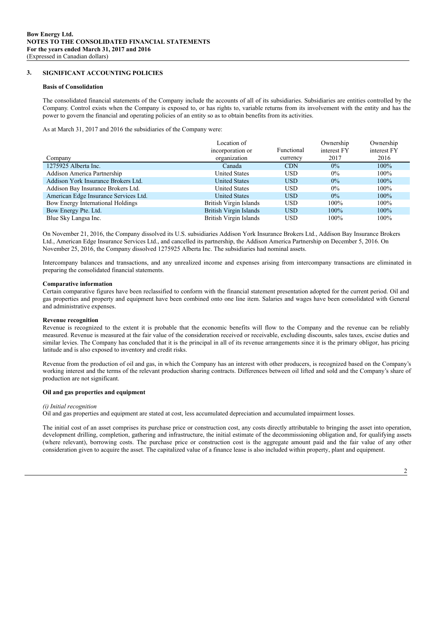#### **3. SIGNIFICANT ACCOUNTING POLICIES**

#### **Basis of Consolidation**

The consolidated financial statements of the Company include the accounts of all of its subsidiaries. Subsidiaries are entities controlled by the Company. Control exists when the Company is exposed to, or has rights to, variable returns from its involvement with the entity and has the power to govern the financial and operating policies of an entity so as to obtain benefits from its activities.

As at March 31, 2017 and 2016 the subsidiaries of the Company were:

|                                       | Location of<br>incorporation or | Functional | Ownership<br>interest FY | Ownership<br>interest FY |
|---------------------------------------|---------------------------------|------------|--------------------------|--------------------------|
| Company                               | organization                    | currency   | 2017                     | 2016                     |
| 1275925 Alberta Inc.                  | Canada                          | <b>CDN</b> | $0\%$                    | 100%                     |
| Addison America Partnership           | <b>United States</b>            | <b>USD</b> | $0\%$                    | $100\%$                  |
| Addison York Insurance Brokers Ltd.   | <b>United States</b>            | <b>USD</b> | $0\%$                    | $100\%$                  |
| Addison Bay Insurance Brokers Ltd.    | <b>United States</b>            | <b>USD</b> | $0\%$                    | $100\%$                  |
| American Edge Insurance Services Ltd. | <b>United States</b>            | <b>USD</b> | $0\%$                    | $100\%$                  |
| Bow Energy International Holdings     | British Virgin Islands          | <b>USD</b> | $100\%$                  | 100%                     |
| Bow Energy Pte. Ltd.                  | <b>British Virgin Islands</b>   | <b>USD</b> | $100\%$                  | $100\%$                  |
| Blue Sky Langsa Inc.                  | British Virgin Islands          | <b>USD</b> | $100\%$                  | 100%                     |

On November 21, 2016, the Company dissolved its U.S. subsidiaries Addison York Insurance Brokers Ltd., Addison Bay Insurance Brokers Ltd., American Edge Insurance Services Ltd., and cancelled its partnership, the Addison America Partnership on December 5, 2016. On November 25, 2016, the Company dissolved 1275925 Alberta Inc. The subsidiaries had nominal assets.

Intercompany balances and transactions, and any unrealized income and expenses arising from intercompany transactions are eliminated in preparing the consolidated financial statements.

#### **Comparative information**

Certain comparative figures have been reclassified to conform with the financial statement presentation adopted for the current period. Oil and gas properties and property and equipment have been combined onto one line item. Salaries and wages have been consolidated with General and administrative expenses.

#### **Revenue recognition**

Revenue is recognized to the extent it is probable that the economic benefits will flow to the Company and the revenue can be reliably measured. Revenue is measured at the fair value of the consideration received or receivable, excluding discounts, sales taxes, excise duties and similar levies. The Company has concluded that it is the principal in all of its revenue arrangements since it is the primary obligor, has pricing latitude and is also exposed to inventory and credit risks.

Revenue from the production of oil and gas, in which the Company has an interest with other producers, is recognized based on the Company's working interest and the terms of the relevant production sharing contracts. Differences between oil lifted and sold and the Company's share of production are not significant.

#### **Oil and gas properties and equipment**

#### *(i) Initial recognition*

Oil and gas properties and equipment are stated at cost, less accumulated depreciation and accumulated impairment losses.

The initial cost of an asset comprises its purchase price or construction cost, any costs directly attributable to bringing the asset into operation, development drilling, completion, gathering and infrastructure, the initial estimate of the decommissioning obligation and, for qualifying assets (where relevant), borrowing costs. The purchase price or construction cost is the aggregate amount paid and the fair value of any other consideration given to acquire the asset. The capitalized value of a finance lease is also included within property, plant and equipment.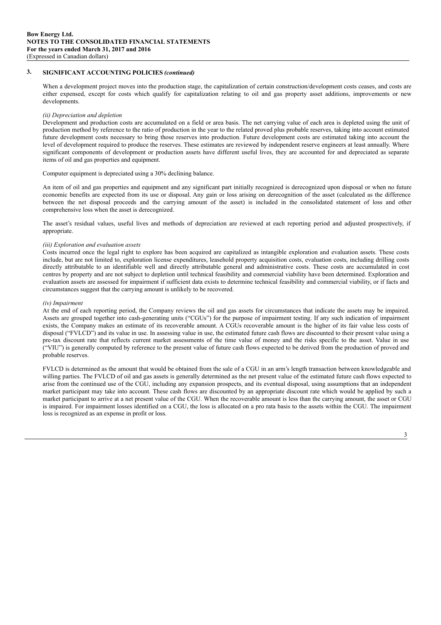When a development project moves into the production stage, the capitalization of certain construction/development costs ceases, and costs are either expensed, except for costs which qualify for capitalization relating to oil and gas property asset additions, improvements or new developments.

#### *(ii) Depreciation and depletion*

Development and production costs are accumulated on a field or area basis. The net carrying value of each area is depleted using the unit of production method by reference to the ratio of production in the year to the related proved plus probable reserves, taking into account estimated future development costs necessary to bring those reserves into production. Future development costs are estimated taking into account the level of development required to produce the reserves. These estimates are reviewed by independent reserve engineers at least annually. Where significant components of development or production assets have different useful lives, they are accounted for and depreciated as separate items of oil and gas properties and equipment.

Computer equipment is depreciated using a 30% declining balance.

An item of oil and gas properties and equipment and any significant part initially recognized is derecognized upon disposal or when no future economic benefits are expected from its use or disposal. Any gain or loss arising on derecognition of the asset (calculated as the difference between the net disposal proceeds and the carrying amount of the asset) is included in the consolidated statement of loss and other comprehensive loss when the asset is derecognized.

The asset's residual values, useful lives and methods of depreciation are reviewed at each reporting period and adjusted prospectively, if appropriate.

#### *(iii) Exploration and evaluation assets*

Costs incurred once the legal right to explore has been acquired are capitalized as intangible exploration and evaluation assets. These costs include, but are not limited to, exploration license expenditures, leasehold property acquisition costs, evaluation costs, including drilling costs directly attributable to an identifiable well and directly attributable general and administrative costs. These costs are accumulated in cost centres by property and are not subject to depletion until technical feasibility and commercial viability have been determined. Exploration and evaluation assets are assessed for impairment if sufficient data exists to determine technical feasibility and commercial viability, or if facts and circumstances suggest that the carrying amount is unlikely to be recovered.

#### *(iv) Impairment*

At the end of each reporting period, the Company reviews the oil and gas assets for circumstances that indicate the assets may be impaired. Assets are grouped together into cash-generating units ("CGUs") for the purpose of impairment testing. If any such indication of impairment exists, the Company makes an estimate of its recoverable amount. A CGUs recoverable amount is the higher of its fair value less costs of disposal ("FVLCD") and its value in use. In assessing value in use, the estimated future cash flows are discounted to their present value using a pre-tax discount rate that reflects current market assessments of the time value of money and the risks specific to the asset. Value in use ("VIU") is generally computed by reference to the present value of future cash flows expected to be derived from the production of proved and probable reserves.

FVLCD is determined as the amount that would be obtained from the sale of a CGU in an arm's length transaction between knowledgeable and willing parties. The FVLCD of oil and gas assets is generally determined as the net present value of the estimated future cash flows expected to arise from the continued use of the CGU, including any expansion prospects, and its eventual disposal, using assumptions that an independent market participant may take into account. These cash flows are discounted by an appropriate discount rate which would be applied by such a market participant to arrive at a net present value of the CGU. When the recoverable amount is less than the carrying amount, the asset or CGU is impaired. For impairment losses identified on a CGU, the loss is allocated on a pro rata basis to the assets within the CGU. The impairment loss is recognized as an expense in profit or loss.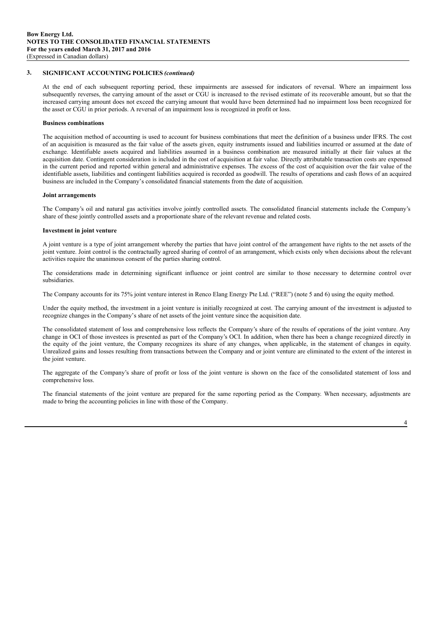At the end of each subsequent reporting period, these impairments are assessed for indicators of reversal. Where an impairment loss subsequently reverses, the carrying amount of the asset or CGU is increased to the revised estimate of its recoverable amount, but so that the increased carrying amount does not exceed the carrying amount that would have been determined had no impairment loss been recognized for the asset or CGU in prior periods. A reversal of an impairment loss is recognized in profit or loss.

#### **Business combinations**

The acquisition method of accounting is used to account for business combinations that meet the definition of a business under IFRS. The cost of an acquisition is measured as the fair value of the assets given, equity instruments issued and liabilities incurred or assumed at the date of exchange. Identifiable assets acquired and liabilities assumed in a business combination are measured initially at their fair values at the acquisition date. Contingent consideration is included in the cost of acquisition at fair value. Directly attributable transaction costs are expensed in the current period and reported within general and administrative expenses. The excess of the cost of acquisition over the fair value of the identifiable assets, liabilities and contingent liabilities acquired is recorded as goodwill. The results of operations and cash flows of an acquired business are included in the Company's consolidated financial statements from the date of acquisition.

#### **Joint arrangements**

The Company's oil and natural gas activities involve jointly controlled assets. The consolidated financial statements include the Company's share of these jointly controlled assets and a proportionate share of the relevant revenue and related costs.

#### **Investment in joint venture**

A joint venture is a type of joint arrangement whereby the parties that have joint control of the arrangement have rights to the net assets of the joint venture. Joint control is the contractually agreed sharing of control of an arrangement, which exists only when decisions about the relevant activities require the unanimous consent of the parties sharing control.

The considerations made in determining significant influence or joint control are similar to those necessary to determine control over subsidiaries.

The Company accounts for its 75% joint venture interest in Renco Elang Energy Pte Ltd. ("REE") (note 5 and 6) using the equity method.

Under the equity method, the investment in a joint venture is initially recognized at cost. The carrying amount of the investment is adjusted to recognize changes in the Company's share of net assets of the joint venture since the acquisition date.

The consolidated statement of loss and comprehensive loss reflects the Company's share of the results of operations of the joint venture. Any change in OCI of those investees is presented as part of the Company's OCI. In addition, when there has been a change recognized directly in the equity of the joint venture, the Company recognizes its share of any changes, when applicable, in the statement of changes in equity. Unrealized gains and losses resulting from transactions between the Company and or joint venture are eliminated to the extent of the interest in the joint venture.

The aggregate of the Company's share of profit or loss of the joint venture is shown on the face of the consolidated statement of loss and comprehensive loss.

The financial statements of the joint venture are prepared for the same reporting period as the Company. When necessary, adjustments are made to bring the accounting policies in line with those of the Company.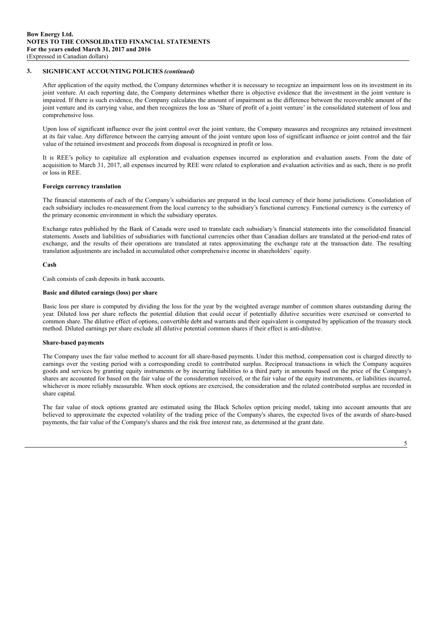After application of the equity method, the Company determines whether it is necessary to recognize an impairment loss on its investment in its joint venture. At each reporting date, the Company determines whether there is objective evidence that the investment in the joint venture is impaired. If there is such evidence, the Company calculates the amount of impairment as the difference between the recoverable amount of the joint venture and its carrying value, and then recognizes the loss as 'Share of profit of a joint venture' in the consolidated statement of loss and comprehensive loss.

Upon loss of significant influence over the joint control over the joint venture, the Company measures and recognizes any retained investment at its fair value. Any difference between the carrying amount of the joint venture upon loss of significant influence or joint control and the fair value of the retained investment and proceeds from disposal is recognized in profit or loss.

It is REE's policy to capitalize all exploration and evaluation expenses incurred as exploration and evaluation assets. From the date of acquisition to March 31, 2017, all expenses incurred by REE were related to exploration and evaluation activities and as such, there is no profit or loss in REE.

#### **Foreign currency translation**

The financial statements of each of the Company's subsidiaries are prepared in the local currency of their home jurisdictions. Consolidation of each subsidiary includes re-measurement from the local currency to the subsidiary's functional currency. Functional currency is the currency of the primary economic environment in which the subsidiary operates.

Exchange rates published by the Bank of Canada were used to translate each subsidiary's financial statements into the consolidated financial statements. Assets and liabilities of subsidiaries with functional currencies other than Canadian dollars are translated at the period-end rates of exchange, and the results of their operations are translated at rates approximating the exchange rate at the transaction date. The resulting translation adjustments are included in accumulated other comprehensive income in shareholders' equity.

#### **Cash**

Cash consists of cash deposits in bank accounts.

#### **Basic and diluted earnings (loss) per share**

Basic loss per share is computed by dividing the loss for the year by the weighted average number of common shares outstanding during the year. Diluted loss per share reflects the potential dilution that could occur if potentially dilutive securities were exercised or converted to common share. The dilutive effect of options, convertible debt and warrants and their equivalent is computed by application of the treasury stock method. Diluted earnings per share exclude all dilutive potential common shares if their effect is anti-dilutive.

#### **Share-based payments**

The Company uses the fair value method to account for all share-based payments. Under this method, compensation cost is charged directly to earnings over the vesting period with a corresponding credit to contributed surplus. Reciprocal transactions in which the Company acquires goods and services by granting equity instruments or by incurring liabilities to a third party in amounts based on the price of the Company's shares are accounted for based on the fair value of the consideration received, or the fair value of the equity instruments, or liabilities incurred, whichever is more reliably measurable. When stock options are exercised, the consideration and the related contributed surplus are recorded in share capital.

The fair value of stock options granted are estimated using the Black Scholes option pricing model, taking into account amounts that are believed to approximate the expected volatility of the trading price of the Company's shares, the expected lives of the awards of share-based payments, the fair value of the Company's shares and the risk free interest rate, as determined at the grant date.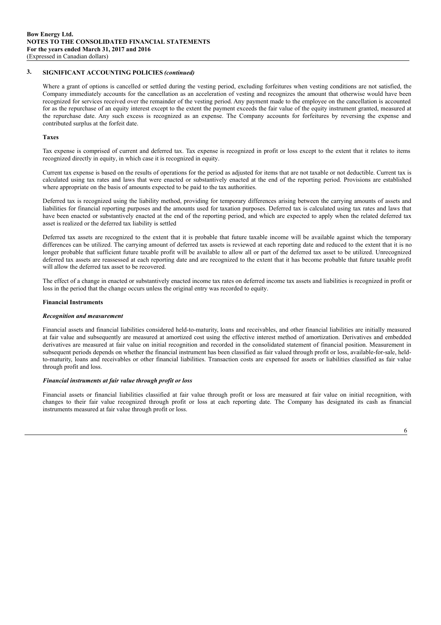Where a grant of options is cancelled or settled during the vesting period, excluding forfeitures when vesting conditions are not satisfied, the Company immediately accounts for the cancellation as an acceleration of vesting and recognizes the amount that otherwise would have been recognized for services received over the remainder of the vesting period. Any payment made to the employee on the cancellation is accounted for as the repurchase of an equity interest except to the extent the payment exceeds the fair value of the equity instrument granted, measured at the repurchase date. Any such excess is recognized as an expense. The Company accounts for forfeitures by reversing the expense and contributed surplus at the forfeit date.

#### **Taxes**

Tax expense is comprised of current and deferred tax. Tax expense is recognized in profit or loss except to the extent that it relates to items recognized directly in equity, in which case it is recognized in equity.

Current tax expense is based on the results of operations for the period as adjusted for items that are not taxable or not deductible. Current tax is calculated using tax rates and laws that were enacted or substantively enacted at the end of the reporting period. Provisions are established where appropriate on the basis of amounts expected to be paid to the tax authorities.

Deferred tax is recognized using the liability method, providing for temporary differences arising between the carrying amounts of assets and liabilities for financial reporting purposes and the amounts used for taxation purposes. Deferred tax is calculated using tax rates and laws that have been enacted or substantively enacted at the end of the reporting period, and which are expected to apply when the related deferred tax asset is realized or the deferred tax liability is settled

Deferred tax assets are recognized to the extent that it is probable that future taxable income will be available against which the temporary differences can be utilized. The carrying amount of deferred tax assets is reviewed at each reporting date and reduced to the extent that it is no longer probable that sufficient future taxable profit will be available to allow all or part of the deferred tax asset to be utilized. Unrecognized deferred tax assets are reassessed at each reporting date and are recognized to the extent that it has become probable that future taxable profit will allow the deferred tax asset to be recovered.

The effect of a change in enacted or substantively enacted income tax rates on deferred income tax assets and liabilities is recognized in profit or loss in the period that the change occurs unless the original entry was recorded to equity.

#### **Financial Instruments**

#### *Recognition and measurement*

Financial assets and financial liabilities considered held-to-maturity, loans and receivables, and other financial liabilities are initially measured at fair value and subsequently are measured at amortized cost using the effective interest method of amortization. Derivatives and embedded derivatives are measured at fair value on initial recognition and recorded in the consolidated statement of financial position. Measurement in subsequent periods depends on whether the financial instrument has been classified as fair valued through profit or loss, available-for-sale, heldto-maturity, loans and receivables or other financial liabilities. Transaction costs are expensed for assets or liabilities classified as fair value through profit and loss.

#### *Financial instruments at fair value through profit or loss*

Financial assets or financial liabilities classified at fair value through profit or loss are measured at fair value on initial recognition, with changes to their fair value recognized through profit or loss at each reporting date. The Company has designated its cash as financial instruments measured at fair value through profit or loss.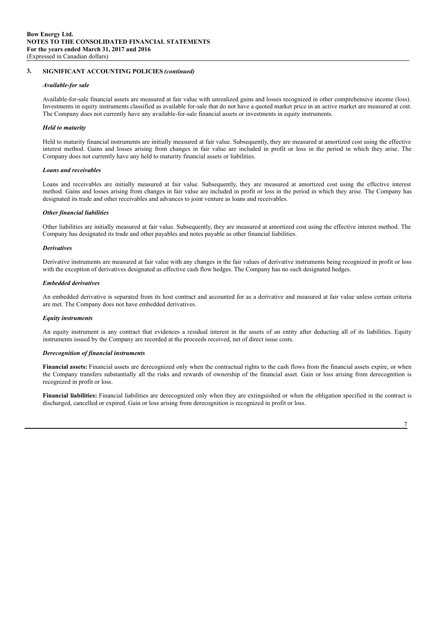#### *Available-for sale*

Available-for-sale financial assets are measured at fair value with unrealized gains and losses recognized in other comprehensive income (loss). Investments in equity instruments classified as available for-sale that do not have a quoted market price in an active market are measured at cost. The Company does not currently have any available-for-sale financial assets or investments in equity instruments.

#### *Held to maturity*

Held to maturity financial instruments are initially measured at fair value. Subsequently, they are measured at amortized cost using the effective interest method. Gains and losses arising from changes in fair value are included in profit or loss in the period in which they arise. The Company does not currently have any held to maturity financial assets or liabilities.

#### *Loans and receivables*

Loans and receivables are initially measured at fair value. Subsequently, they are measured at amortized cost using the effective interest method. Gains and losses arising from changes in fair value are included in profit or loss in the period in which they arise. The Company has designated its trade and other receivables and advances to joint venture as loans and receivables.

#### *Other financial liabilities*

Other liabilities are initially measured at fair value. Subsequently, they are measured at amortized cost using the effective interest method. The Company has designated its trade and other payables and notes payable as other financial liabilities.

#### *Derivatives*

Derivative instruments are measured at fair value with any changes in the fair values of derivative instruments being recognized in profit or loss with the exception of derivatives designated as effective cash flow hedges. The Company has no such designated hedges.

#### *Embedded derivatives*

An embedded derivative is separated from its host contract and accounted for as a derivative and measured at fair value unless certain criteria are met. The Company does not have embedded derivatives.

#### *Equity instruments*

An equity instrument is any contract that evidences a residual interest in the assets of an entity after deducting all of its liabilities. Equity instruments issued by the Company are recorded at the proceeds received, net of direct issue costs.

#### *Derecognition of financial instruments*

**Financial assets:** Financial assets are derecognized only when the contractual rights to the cash flows from the financial assets expire, or when the Company transfers substantially all the risks and rewards of ownership of the financial asset. Gain or loss arising from derecognition is recognized in profit or loss.

**Financial liabilities:** Financial liabilities are derecognized only when they are extinguished or when the obligation specified in the contract is discharged, cancelled or expired. Gain or loss arising from derecognition is recognized in profit or loss.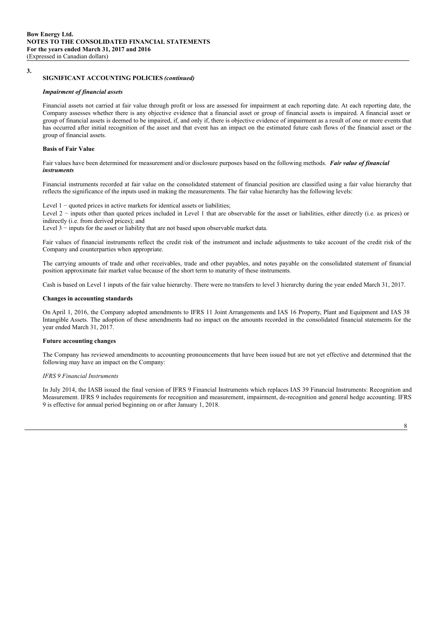**3.**

#### **SIGNIFICANT ACCOUNTING POLICIES** *(continued)*

#### *Impairment of financial assets*

Financial assets not carried at fair value through profit or loss are assessed for impairment at each reporting date. At each reporting date, the Company assesses whether there is any objective evidence that a financial asset or group of financial assets is impaired. A financial asset or group of financial assets is deemed to be impaired, if, and only if, there is objective evidence of impairment as a result of one or more events that has occurred after initial recognition of the asset and that event has an impact on the estimated future cash flows of the financial asset or the group of financial assets.

#### **Basis of Fair Value**

Fair values have been determined for measurement and/or disclosure purposes based on the following methods. *Fair value of financial instruments*

Financial instruments recorded at fair value on the consolidated statement of financial position are classified using a fair value hierarchy that reflects the significance of the inputs used in making the measurements. The fair value hierarchy has the following levels:

Level 1 − quoted prices in active markets for identical assets or liabilities;

Level 2 − inputs other than quoted prices included in Level 1 that are observable for the asset or liabilities, either directly (i.e. as prices) or indirectly (i.e. from derived prices); and

Level 3 − inputs for the asset or liability that are not based upon observable market data.

Fair values of financial instruments reflect the credit risk of the instrument and include adjustments to take account of the credit risk of the Company and counterparties when appropriate.

The carrying amounts of trade and other receivables, trade and other payables, and notes payable on the consolidated statement of financial position approximate fair market value because of the short term to maturity of these instruments.

Cash is based on Level 1 inputs of the fair value hierarchy. There were no transfers to level 3 hierarchy during the year ended March 31, 2017.

#### **Changes in accounting standards**

On April 1, 2016, the Company adopted amendments to IFRS 11 Joint Arrangements and IAS 16 Property, Plant and Equipment and IAS 38 Intangible Assets. The adoption of these amendments had no impact on the amounts recorded in the consolidated financial statements for the year ended March 31, 2017.

#### **Future accounting changes**

The Company has reviewed amendments to accounting pronouncements that have been issued but are not yet effective and determined that the following may have an impact on the Company:

#### *IFRS 9 Financial Instruments*

In July 2014, the IASB issued the final version of IFRS 9 Financial Instruments which replaces IAS 39 Financial Instruments: Recognition and Measurement. IFRS 9 includes requirements for recognition and measurement, impairment, de-recognition and general hedge accounting. IFRS 9 is effective for annual period beginning on or after January 1, 2018.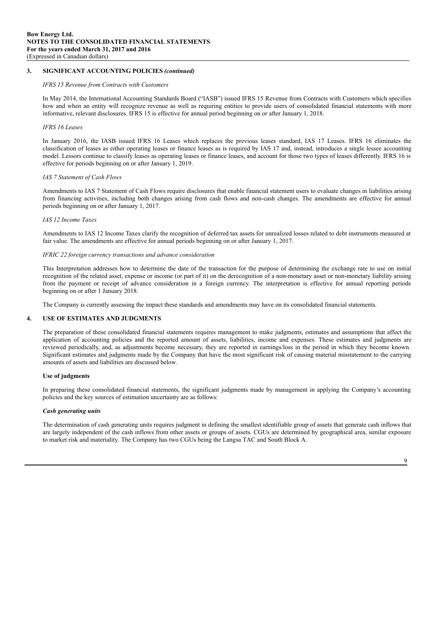#### *IFRS 15 Revenue from Contracts with Customers*

In May 2014, the International Accounting Standards Board ("IASB") issued IFRS 15 Revenue from Contracts with Customers which specifies how and when an entity will recognize revenue as well as requiring entities to provide users of consolidated financial statements with more informative, relevant disclosures. IFRS 15 is effective for annual period beginning on or after January 1, 2018.

#### *IFRS 16 Leases*

In January 2016, the IASB issued IFRS 16 Leases which replaces the previous leases standard, IAS 17 Leases. IFRS 16 eliminates the classification of leases as either operating leases or finance leases as is required by IAS 17 and, instead, introduces a single lessee accounting model. Lessors continue to classify leases as operating leases or finance leases, and account for those two types of leases differently. IFRS 16 is effective for periods beginning on or after January 1, 2019.

#### *IAS 7 Statement of Cash Flows*

Amendments to IAS 7 Statement of Cash Flows require disclosures that enable financial statement users to evaluate changes in liabilities arising from financing activities, including both changes arising from cash flows and non-cash changes. The amendments are effective for annual periods beginning on or after January 1, 2017.

#### *IAS 12 Income Taxes*

Amendments to IAS 12 Income Taxes clarify the recognition of deferred tax assets for unrealized losses related to debt instruments measured at fair value. The amendments are effective for annual periods beginning on or after January 1, 2017.

#### *IFRIC 22 foreign currency transactions and advance consideration*

This Interpretation addresses how to determine the date of the transaction for the purpose of determining the exchange rate to use on initial recognition of the related asset, expense or income (or part of it) on the derecognition of a non-monetary asset or non-monetary liability arising from the payment or receipt of advance consideration in a foreign currency. The interpretation is effective for annual reporting periods beginning on or after 1 January 2018.

The Company is currently assessing the impact these standards and amendments may have on its consolidated financial statements.

#### **4. USE OF ESTIMATES AND JUDGMENTS**

The preparation of these consolidated financial statements requires management to make judgments, estimates and assumptions that affect the application of accounting policies and the reported amount of assets, liabilities, income and expenses. These estimates and judgments are reviewed periodically, and, as adjustments become necessary, they are reported in earnings/loss in the period in which they become known. Significant estimates and judgments made by the Company that have the most significant risk of causing material misstatement to the carrying amounts of assets and liabilities are discussed below.

#### **Use of judgments**

In preparing these consolidated financial statements, the significant judgments made by management in applying the Company's accounting policies and the key sources of estimation uncertainty are as follows:

#### *Cash generating units*

The determination of cash generating units requires judgment in defining the smallest identifiable group of assets that generate cash inflows that are largely independent of the cash inflows from other assets or groups of assets. CGUs are determined by geographical area, similar exposure to market risk and materiality. The Company has two CGUs being the Langsa TAC and South Block A.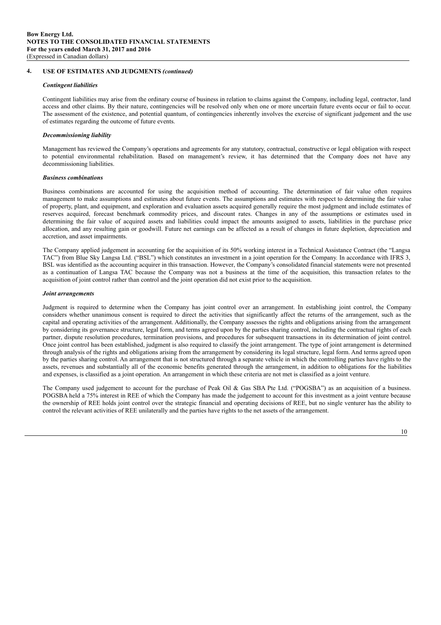#### **4. USE OF ESTIMATES AND JUDGMENTS** *(continued)*

#### *Contingent liabilities*

Contingent liabilities may arise from the ordinary course of business in relation to claims against the Company, including legal, contractor, land access and other claims. By their nature, contingencies will be resolved only when one or more uncertain future events occur or fail to occur. The assessment of the existence, and potential quantum, of contingencies inherently involves the exercise of significant judgement and the use of estimates regarding the outcome of future events.

#### *Decommissioning liability*

Management has reviewed the Company's operations and agreements for any statutory, contractual, constructive or legal obligation with respect to potential environmental rehabilitation. Based on management's review, it has determined that the Company does not have any decommissioning liabilities.

#### *Business combinations*

Business combinations are accounted for using the acquisition method of accounting. The determination of fair value often requires management to make assumptions and estimates about future events. The assumptions and estimates with respect to determining the fair value of property, plant, and equipment, and exploration and evaluation assets acquired generally require the most judgment and include estimates of reserves acquired, forecast benchmark commodity prices, and discount rates. Changes in any of the assumptions or estimates used in determining the fair value of acquired assets and liabilities could impact the amounts assigned to assets, liabilities in the purchase price allocation, and any resulting gain or goodwill. Future net earnings can be affected as a result of changes in future depletion, depreciation and accretion, and asset impairments.

The Company applied judgement in accounting for the acquisition of its 50% working interest in a Technical Assistance Contract (the "Langsa TAC") from Blue Sky Langsa Ltd. ("BSL") which constitutes an investment in a joint operation for the Company. In accordance with IFRS 3, BSL was identified as the accounting acquirer in this transaction. However, the Company's consolidated financial statements were not presented as a continuation of Langsa TAC because the Company was not a business at the time of the acquisition, this transaction relates to the acquisition of joint control rather than control and the joint operation did not exist prior to the acquisition.

#### *Joint arrangements*

Judgment is required to determine when the Company has joint control over an arrangement. In establishing joint control, the Company considers whether unanimous consent is required to direct the activities that significantly affect the returns of the arrangement, such as the capital and operating activities of the arrangement. Additionally, the Company assesses the rights and obligations arising from the arrangement by considering its governance structure, legal form, and terms agreed upon by the parties sharing control, including the contractual rights of each partner, dispute resolution procedures, termination provisions, and procedures for subsequent transactions in its determination of joint control. Once joint control has been established, judgment is also required to classify the joint arrangement. The type of joint arrangement is determined through analysis of the rights and obligations arising from the arrangement by considering its legal structure, legal form. And terms agreed upon by the parties sharing control. An arrangement that is not structured through a separate vehicle in which the controlling parties have rights to the assets, revenues and substantially all of the economic benefits generated through the arrangement, in addition to obligations for the liabilities and expenses, is classified as a joint operation. An arrangement in which these criteria are not met is classified as a joint venture.

The Company used judgement to account for the purchase of Peak Oil & Gas SBA Pte Ltd. ("POGSBA") as an acquisition of a business. POGSBA held a 75% interest in REE of which the Company has made the judgement to account for this investment as a joint venture because the ownership of REE holds joint control over the strategic financial and operating decisions of REE, but no single venturer has the ability to control the relevant activities of REE unilaterally and the parties have rights to the net assets of the arrangement.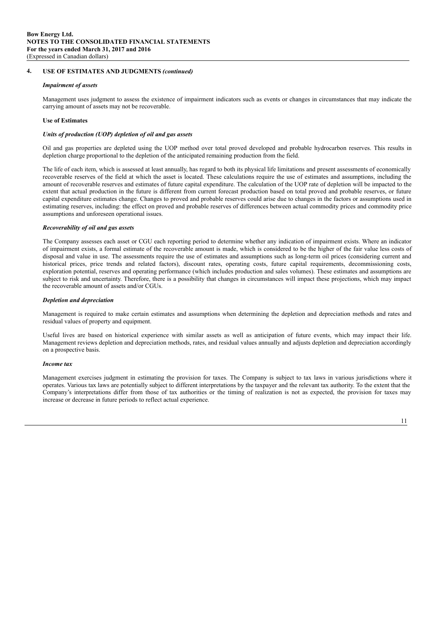#### **4. USE OF ESTIMATES AND JUDGMENTS** *(continued)*

#### *Impairment of assets*

Management uses judgment to assess the existence of impairment indicators such as events or changes in circumstances that may indicate the carrying amount of assets may not be recoverable.

#### **Use of Estimates**

#### *Units of production (UOP) depletion of oil and gas assets*

Oil and gas properties are depleted using the UOP method over total proved developed and probable hydrocarbon reserves. This results in depletion charge proportional to the depletion of the anticipated remaining production from the field.

The life of each item, which is assessed at least annually, has regard to both its physical life limitations and present assessments of economically recoverable reserves of the field at which the asset is located. These calculations require the use of estimates and assumptions, including the amount of recoverable reserves and estimates of future capital expenditure. The calculation of the UOP rate of depletion will be impacted to the extent that actual production in the future is different from current forecast production based on total proved and probable reserves, or future capital expenditure estimates change. Changes to proved and probable reserves could arise due to changes in the factors or assumptions used in estimating reserves, including: the effect on proved and probable reserves of differences between actual commodity prices and commodity price assumptions and unforeseen operational issues.

#### *Recoverability of oil and gas assets*

The Company assesses each asset or CGU each reporting period to determine whether any indication of impairment exists. Where an indicator of impairment exists, a formal estimate of the recoverable amount is made, which is considered to be the higher of the fair value less costs of disposal and value in use. The assessments require the use of estimates and assumptions such as long-term oil prices (considering current and historical prices, price trends and related factors), discount rates, operating costs, future capital requirements, decommissioning costs, exploration potential, reserves and operating performance (which includes production and sales volumes). These estimates and assumptions are subject to risk and uncertainty. Therefore, there is a possibility that changes in circumstances will impact these projections, which may impact the recoverable amount of assets and/or CGUs.

#### *Depletion and depreciation*

Management is required to make certain estimates and assumptions when determining the depletion and depreciation methods and rates and residual values of property and equipment.

Useful lives are based on historical experience with similar assets as well as anticipation of future events, which may impact their life. Management reviews depletion and depreciation methods, rates, and residual values annually and adjusts depletion and depreciation accordingly on a prospective basis.

#### *Income tax*

Management exercises judgment in estimating the provision for taxes. The Company is subject to tax laws in various jurisdictions where it operates. Various tax laws are potentially subject to different interpretations by the taxpayer and the relevant tax authority. To the extent that the Company's interpretations differ from those of tax authorities or the timing of realization is not as expected, the provision for taxes may increase or decrease in future periods to reflect actual experience.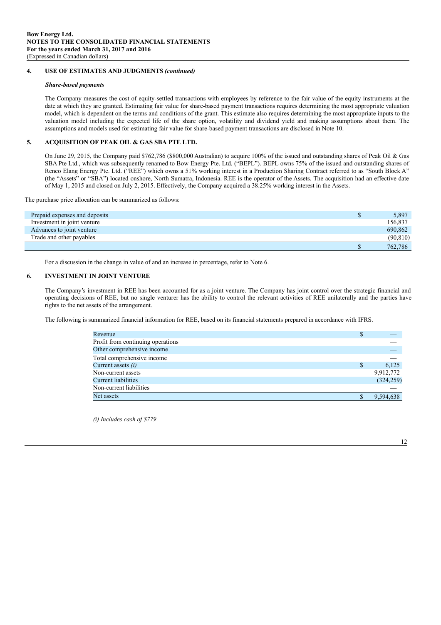#### **4. USE OF ESTIMATES AND JUDGMENTS** *(continued)*

#### *Share-based payments*

The Company measures the cost of equity-settled transactions with employees by reference to the fair value of the equity instruments at the date at which they are granted. Estimating fair value for share-based payment transactions requires determining the most appropriate valuation model, which is dependent on the terms and conditions of the grant. This estimate also requires determining the most appropriate inputs to the valuation model including the expected life of the share option, volatility and dividend yield and making assumptions about them. The assumptions and models used for estimating fair value for share-based payment transactions are disclosed in Note 10.

#### **5. ACQUISITION OF PEAK OIL & GAS SBA PTE LTD.**

On June 29, 2015, the Company paid \$762,786 (\$800,000 Australian) to acquire 100% of the issued and outstanding shares of Peak Oil & Gas SBA Pte Ltd., which was subsequently renamed to Bow Energy Pte. Ltd. ("BEPL"). BEPL owns 75% of the issued and outstanding shares of Renco Elang Energy Pte. Ltd. ("REE") which owns a 51% working interest in a Production Sharing Contract referred to as "South Block A" (the "Assets" or "SBA") located onshore, North Sumatra, Indonesia. REE is the operator of the Assets. The acquisition had an effective date of May 1, 2015 and closed on July 2, 2015. Effectively, the Company acquired a 38.25% working interest in the Assets.

The purchase price allocation can be summarized as follows:

| Prepaid expenses and deposits | 5,897     |
|-------------------------------|-----------|
| Investment in joint venture   | 156,837   |
| Advances to joint venture     | 690,862   |
| Trade and other payables      | (90, 810) |
|                               | 762,786   |

For a discussion in the change in value of and an increase in percentage, refer to Note 6.

#### **6. INVESTMENT IN JOINT VENTURE**

The Company's investment in REE has been accounted for as a joint venture. The Company has joint control over the strategic financial and operating decisions of REE, but no single venturer has the ability to control the relevant activities of REE unilaterally and the parties have rights to the net assets of the arrangement.

The following is summarized financial information for REE, based on its financial statements prepared in accordance with IFRS.

| Revenue                           | S |            |
|-----------------------------------|---|------------|
| Profit from continuing operations |   |            |
| Other comprehensive income        |   |            |
| Total comprehensive income        |   |            |
| Current assets $(i)$              |   | 6.125      |
| Non-current assets                |   | 9,912,772  |
| <b>Current liabilities</b>        |   | (324, 259) |
| Non-current liabilities           |   |            |
| Net assets                        |   | 9.594.638  |

*(i) Includes cash of \$779*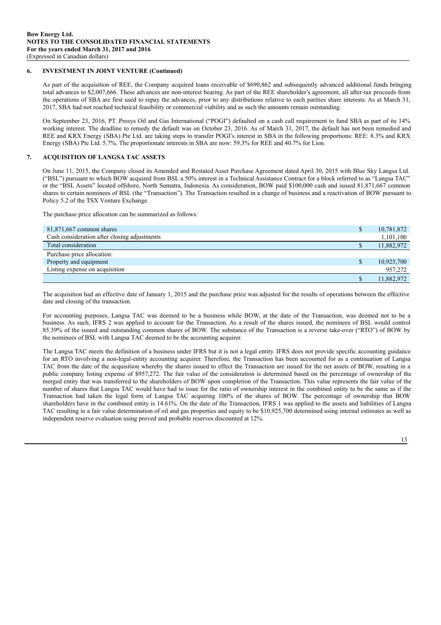#### **6. INVESTMENT IN JOINT VENTURE (Continued)**

As part of the acquisition of REE, the Company acquired loans receivable of \$690,862 and subsequently advanced additional funds bringing total advances to \$2,007,666. These advances are non-interest bearing. As part of the REE shareholder's agreement, all after-tax proceeds from the operations of SBA are first used to repay the advances, prior to any distributions relative to each parities share interests. As at March 31, 2017, SBA had not reached technical feasibility or commercial viability and as such the amounts remain outstanding.

On September 23, 2016, PT. Prosys Oil and Gas International ("POGI") defaulted on a cash call requirement to fund SBA as part of its 14% working interest. The deadline to remedy the default was on October 23, 2016. As of March 31, 2017, the default has not been remedied and REE and KRX Energy (SBA) Pte Ltd. are taking steps to transfer POGI's interest in SBA in the following proportions: REE: 8.3% and KRX Energy (SBA) Pte Ltd. 5.7%. The proportionate interests in SBA are now: 59.3% for REE and 40.7% for Lion.

#### **7. ACQUISITION OF LANGSA TAC ASSETS**

On June 11, 2015, the Company closed its Amended and Restated Asset Purchase Agreement dated April 30, 2015 with Blue Sky Langsa Ltd. ("BSL") pursuant to which BOW acquired from BSL a 50% interest in a Technical Assistance Contract for a block referred to as "Langsa TAC" or the "BSL Assets" located offshore, North Sumatra, Indonesia. As consideration, BOW paid \$100,000 cash and issued 81,871,667 common shares to certain nominees of BSL (the "Transaction"). The Transaction resulted in a change of business and a reactivation of BOW pursuant to Policy 5.2 of the TSX Venture Exchange.

The purchase price allocation can be summarized as follows:

| 81,871,667 common shares                     | J. | 10,781,872 |
|----------------------------------------------|----|------------|
| Cash consideration after closing adjustments |    | 1,101,100  |
| Total consideration                          | Y  | 11,882,972 |
| Purchase price allocation:                   |    |            |
| Property and equipment                       | S  | 10,925,700 |
| Listing expense on acquisition               |    | 957,272    |
|                                              |    | 11,882,972 |

The acquisition had an effective date of January 1, 2015 and the purchase price was adjusted for the results of operations between the effective date and closing of the transaction.

For accounting purposes, Langsa TAC was deemed to be a business while BOW, at the date of the Transaction, was deemed not to be a business. As such, IFRS 2 was applied to account for the Transaction. As a result of the shares issued, the nominees of BSL would control 85.39% of the issued and outstanding common shares of BOW. The substance of the Transaction is a reverse take-over ("RTO") of BOW by the nominees of BSL with Langsa TAC deemed to be the accounting acquirer.

The Langsa TAC meets the definition of a business under IFRS but it is not a legal entity. IFRS does not provide specific accounting guidance for an RTO involving a non-legal-entity accounting acquirer. Therefore, the Transaction has been accounted for as a continuation of Langsa TAC from the date of the acquisition whereby the shares issued to effect the Transaction are issued for the net assets of BOW, resulting in a public company listing expense of \$957,272. The fair value of the consideration is determined based on the percentage of ownership of the merged entity that was transferred to the shareholders of BOW upon completion of the Transaction. This value represents the fair value of the number of shares that Langsa TAC would have had to issue for the ratio of ownership interest in the combined entity to be the same as if the Transaction had taken the legal form of Langsa TAC acquiring 100% of the shares of BOW. The percentage of ownership that BOW shareholders have in the combined entity is 14.61%. On the date of the Transaction, IFRS 1 was applied to the assets and liabilities of Langsa TAC resulting in a fair value determination of oil and gas properties and equity to be \$10,925,700 determined using internal estimates as well as independent reserve evaluation using proved and probable reserves discounted at 12%.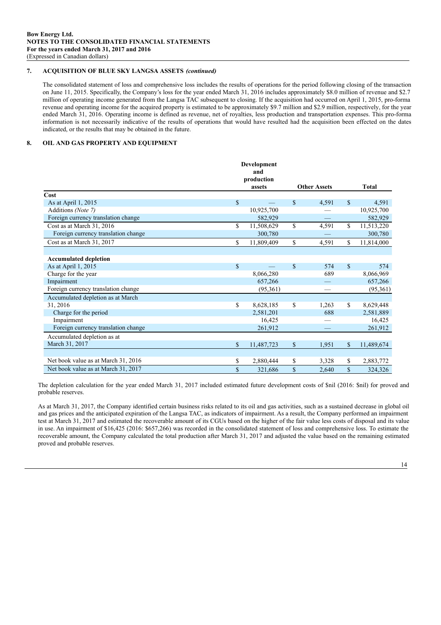#### **7. ACQUISITION OF BLUE SKY LANGSA ASSETS** *(continued)*

The consolidated statement of loss and comprehensive loss includes the results of operations for the period following closing of the transaction on June 11, 2015. Specifically, the Company's loss for the year ended March 31, 2016 includes approximately \$8.0 million of revenue and \$2.7 million of operating income generated from the Langsa TAC subsequent to closing. If the acquisition had occurred on April 1, 2015, pro-forma revenue and operating income for the acquired property is estimated to be approximately \$9.7 million and \$2.9 million, respectively, for the year ended March 31, 2016. Operating income is defined as revenue, net of royalties, less production and transportation expenses. This pro-forma information is not necessarily indicative of the results of operations that would have resulted had the acquisition been effected on the dates indicated, or the results that may be obtained in the future.

#### **8. OIL AND GAS PROPERTY AND EQUIPMENT**

|                                     | Development<br>and |              |                     |             |              |
|-------------------------------------|--------------------|--------------|---------------------|-------------|--------------|
|                                     | production         |              |                     |             |              |
|                                     | assets             |              | <b>Other Assets</b> |             | <b>Total</b> |
| Cost                                |                    |              |                     |             |              |
| As at April 1, 2015                 | \$                 | $\mathbb{S}$ | 4,591               | $\mathbf S$ | 4,591        |
| Additions (Note 7)                  | 10,925,700         |              |                     |             | 10,925,700   |
| Foreign currency translation change | 582,929            |              |                     |             | 582,929      |
| Cost as at March 31, 2016           | \$<br>11,508,629   | $\mathbf S$  | 4,591               | \$          | 11,513,220   |
| Foreign currency translation change | 300,780            |              |                     |             | 300,780      |
| Cost as at March 31, 2017           | \$<br>11,809,409   | \$           | 4,591               | \$          | 11,814,000   |
|                                     |                    |              |                     |             |              |
| <b>Accumulated depletion</b>        |                    |              |                     |             |              |
| As at April 1, 2015                 | \$                 | $\mathbf S$  | 574                 | $\mathbf S$ | 574          |
| Charge for the year                 | 8,066,280          |              | 689                 |             | 8,066,969    |
| Impairment                          | 657,266            |              |                     |             | 657,266      |
| Foreign currency translation change | (95,361)           |              |                     |             | (95,361)     |
| Accumulated depletion as at March   |                    |              |                     |             |              |
| 31, 2016                            | \$<br>8,628,185    | \$           | 1,263               | \$          | 8,629,448    |
| Charge for the period               | 2,581,201          |              | 688                 |             | 2,581,889    |
| Impairment                          | 16,425             |              |                     |             | 16,425       |
| Foreign currency translation change | 261,912            |              |                     |             | 261,912      |
| Accumulated depletion as at         |                    |              |                     |             |              |
| March 31, 2017                      | \$<br>11,487,723   | \$           | 1,951               | \$          | 11,489,674   |
|                                     |                    |              |                     |             |              |
| Net book value as at March 31, 2016 | \$<br>2,880,444    | \$           | 3,328               | \$          | 2,883,772    |
| Net book value as at March 31, 2017 | \$<br>321,686      | \$           | 2,640               | \$          | 324,326      |

The depletion calculation for the year ended March 31, 2017 included estimated future development costs of \$nil (2016: \$nil) for proved and probable reserves.

As at March 31, 2017, the Company identified certain business risks related to its oil and gas activities, such as a sustained decrease in global oil and gas prices and the anticipated expiration of the Langsa TAC, as indicators of impairment. As a result, the Company performed an impairment test at March 31, 2017 and estimated the recoverable amount of its CGUs based on the higher of the fair value less costs of disposal and its value in use. An impairment of \$16,425 (2016: \$657,266) was recorded in the consolidated statement of loss and comprehensive loss. To estimate the recoverable amount, the Company calculated the total production after March 31, 2017 and adjusted the value based on the remaining estimated proved and probable reserves.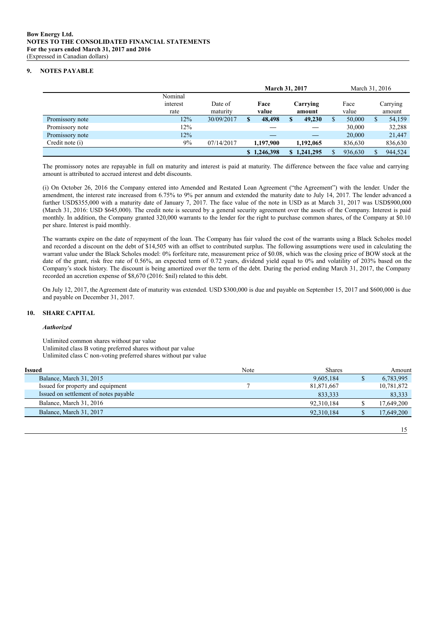#### **9. NOTES PAYABLE**

|                 |          |            | <b>March 31, 2017</b> |                 |          |             | March 31, 2016 |         |   |         |  |        |  |          |
|-----------------|----------|------------|-----------------------|-----------------|----------|-------------|----------------|---------|---|---------|--|--------|--|----------|
|                 | Nominal  |            |                       |                 |          |             |                |         |   |         |  |        |  |          |
|                 | interest | Date of    |                       |                 | Carrying |             |                |         |   |         |  | Face   |  | Carrying |
|                 | rate     | maturity   |                       | value<br>amount |          |             |                |         |   | value   |  | amount |  |          |
| Promissory note | 12%      | 30/09/2017 | \$                    | 48,498          | S        | 49,230      |                | 50,000  | S | 54,159  |  |        |  |          |
| Promissory note | 12%      |            |                       |                 |          |             |                | 30,000  |   | 32,288  |  |        |  |          |
| Promissory note | 12%      |            |                       |                 |          |             |                | 20,000  |   | 21,447  |  |        |  |          |
| Credit note (i) | 9%       | 07/14/2017 |                       | 1,197,900       |          | 1.192.065   |                | 836,630 |   | 836,630 |  |        |  |          |
|                 |          |            |                       | \$1,246,398     |          | \$1.241.295 |                | 936.630 |   | 944.524 |  |        |  |          |

The promissory notes are repayable in full on maturity and interest is paid at maturity. The difference between the face value and carrying amount is attributed to accrued interest and debt discounts.

(i) On October 26, 2016 the Company entered into Amended and Restated Loan Agreement ("the Agreement") with the lender. Under the amendment, the interest rate increased from 6.75% to 9% per annum and extended the maturity date to July 14, 2017. The lender advanced a further USD\$355,000 with a maturity date of January 7, 2017. The face value of the note in USD as at March 31, 2017 was USD\$900,000 (March 31, 2016: USD \$645,000). The credit note is secured by a general security agreement over the assets of the Company. Interest is paid monthly. In addition, the Company granted 320,000 warrants to the lender for the right to purchase common shares, of the Company at \$0.10 per share. Interest is paid monthly.

The warrants expire on the date of repayment of the loan. The Company has fair valued the cost of the warrants using a Black Scholes model and recorded a discount on the debt of \$14,505 with an offset to contributed surplus. The following assumptions were used in calculating the warrant value under the Black Scholes model: 0% forfeiture rate, measurement price of \$0.08, which was the closing price of BOW stock at the date of the grant, risk free rate of 0.56%, an expected term of 0.72 years, dividend yield equal to 0% and volatility of 203% based on the Company's stock history. The discount is being amortized over the term of the debt. During the period ending March 31, 2017, the Company recorded an accretion expense of \$8,670 (2016: \$nil) related to this debt.

On July 12, 2017, the Agreement date of maturity was extended. USD \$300,000 is due and payable on September 15, 2017 and \$600,000 is due and payable on December 31, 2017.

#### **10. SHARE CAPITAL**

#### *Authorized*

Unlimited common shares without par value Unlimited class B voting preferred shares without par value Unlimited class C non-voting preferred shares without par value

| Issued                                | Note | Shares     | Amount     |
|---------------------------------------|------|------------|------------|
| Balance, March 31, 2015               |      | 9,605,184  | 6,783,995  |
| Issued for property and equipment     |      | 81,871,667 | 10,781,872 |
| Issued on settlement of notes payable |      | 833.333    | 83,333     |
| Balance, March 31, 2016               |      | 92.310.184 | 17,649,200 |
| Balance, March 31, 2017               |      | 92.310.184 | 17,649,200 |
|                                       |      |            |            |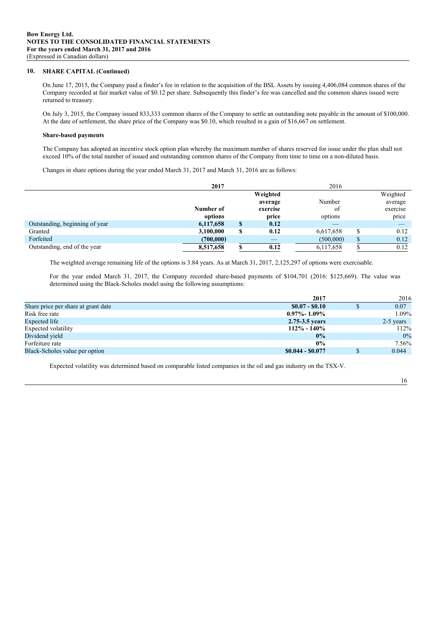#### **10. SHARE CAPITAL (Continued)**

On June 17, 2015, the Company paid a finder's fee in relation to the acquisition of the BSL Assets by issuing 4,406,084 common shares of the Company recorded at fair market value of \$0.12 per share. Subsequently this finder's fee was cancelled and the common shares issued were returned to treasury.

On July 3, 2015, the Company issued 833,333 common shares of the Company to settle an outstanding note payable in the amount of \$100,000. At the date of settlement, the share price of the Company was \$0.10, which resulted in a gain of \$16,667 on settlement.

#### **Share-based payments**

The Company has adopted an incentive stock option plan whereby the maximum number of shares reserved for issue under the plan shall not exceed 10% of the total number of issued and outstanding common shares of the Company from time to time on a non-diluted basis.

Changes in share options during the year ended March 31, 2017 and March 31, 2016 are as follows:

|                                | 2017      |                          | 2016      |          |          |
|--------------------------------|-----------|--------------------------|-----------|----------|----------|
|                                |           | Weighted                 |           |          | Weighted |
|                                |           | average                  | Number    |          | average  |
|                                | Number of | exercise                 | οt        |          | exercise |
|                                | options   | price                    | options   |          | price    |
| Outstanding, beginning of year | 6,117,658 | \$<br>0.12               |           |          |          |
| Granted                        | 3,100,000 | \$<br>0.12               | 6,617,658 | ¢        | 0.12     |
| Forfeited                      | (700,000) | $\overline{\phantom{a}}$ | (500,000) | $\sigma$ | 0.12     |
| Outstanding, end of the year   | 8,517,658 | 0.12                     | 6,117,658 |          | 0.12     |

The weighted average remaining life of the options is 3.84 years. As at March 31, 2017, 2,125,297 of options were exercisable.

For the year ended March 31, 2017, the Company recorded share-based payments of \$104,701 (2016: \$125,669). The value was determined using the Black-Scholes model using the following assumptions:

|                                     | 2017              | 2016      |
|-------------------------------------|-------------------|-----------|
| Share price per share at grant date | $$0.07 - $0.10$   | 0.07      |
| Risk free rate                      | $0.97\%$ - 1.09%  | $1.09\%$  |
| Expected life                       | 2.75-3.5 years    | 2-5 years |
| Expected volatility                 | $112\% - 140\%$   | 112%      |
| Dividend yield                      | $0\%$             | $0\%$     |
| Forfeiture rate                     | $0\%$             | 7.56%     |
| Black-Scholes value per option      | $$0.044 - $0.077$ | 0.044     |

Expected volatility was determined based on comparable listed companies in the oil and gas industry on the TSX-V.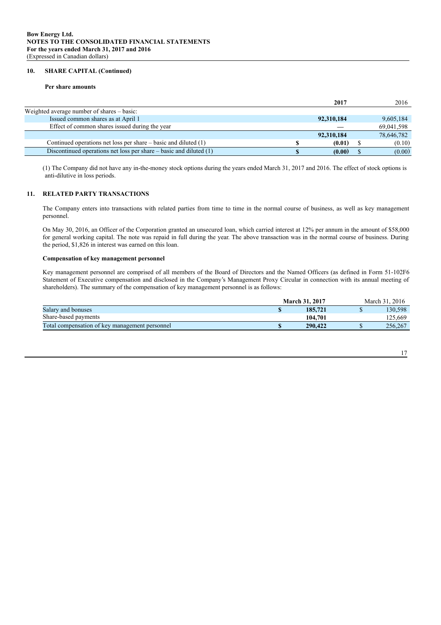#### **10. SHARE CAPITAL (Continued)**

#### **Per share amounts**

|                                                                        | 2017       | 2016       |
|------------------------------------------------------------------------|------------|------------|
| Weighted average number of shares – basic:                             |            |            |
| Issued common shares as at April 1                                     | 92,310,184 | 9,605,184  |
| Effect of common shares issued during the year                         |            | 69,041,598 |
|                                                                        | 92,310,184 | 78,646,782 |
| Continued operations net loss per share $-$ basic and diluted $(1)$    | (0.01)     | (0.10)     |
| Discontinued operations net loss per share $-$ basic and diluted $(1)$ | (0.00)     | (0.00)     |

(1) The Company did not have any in-the-money stock options during the years ended March 31, 2017 and 2016. The effect of stock options is anti-dilutive in loss periods.

#### **11. RELATED PARTY TRANSACTIONS**

The Company enters into transactions with related parties from time to time in the normal course of business, as well as key management personnel.

On May 30, 2016, an Officer of the Corporation granted an unsecured loan, which carried interest at 12% per annum in the amount of \$58,000 for general working capital. The note was repaid in full during the year. The above transaction was in the normal course of business. During the period, \$1,826 in interest was earned on this loan.

#### **Compensation of key management personnel**

Key management personnel are comprised of all members of the Board of Directors and the Named Officers (as defined in Form 51-102F6 Statement of Executive compensation and disclosed in the Company's Management Proxy Circular in connection with its annual meeting of shareholders). The summary of the compensation of key management personnel is as follows:

|                                                | <b>March 31, 2017</b> | March 31, 2016 |
|------------------------------------------------|-----------------------|----------------|
| Salary and bonuses                             | 185.721               | 130.598        |
| Share-based payments                           | 104.701               | 125.669        |
| Total compensation of key management personnel | 290.422               | 256,267        |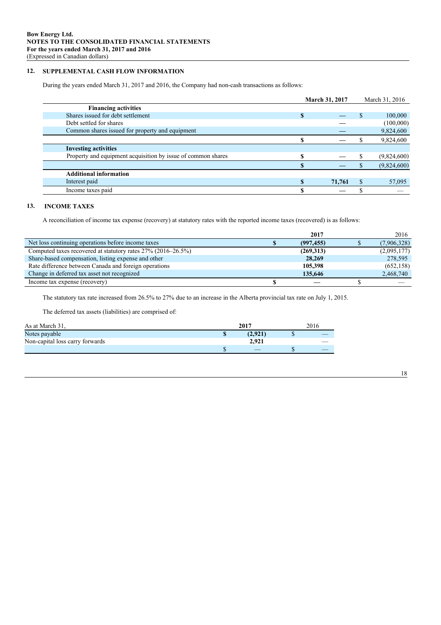#### **12. SUPPLEMENTAL CASH FLOW INFORMATION**

During the years ended March 31, 2017 and 2016, the Company had non-cash transactions as follows:

| 100,000     |
|-------------|
| (100,000)   |
| 9,824,600   |
| 9,824,600   |
|             |
| (9,824,600) |
| (9,824,600) |
|             |
| 57,095      |
|             |
|             |

# **13. INCOME TAXES**

A reconciliation of income tax expense (recovery) at statutory rates with the reported income taxes (recovered) is as follows:

|                                                              | 2017       | 2016        |
|--------------------------------------------------------------|------------|-------------|
| Net loss continuing operations before income taxes           | (997, 455) | (7,906,328) |
| Computed taxes recovered at statutory rates 27% (2016–26.5%) | (269,313)  | (2,095,177) |
| Share-based compensation, listing expense and other          | 28,269     | 278,595     |
| Rate difference between Canada and foreign operations        | 105,398    | (652, 158)  |
| Change in deferred tax asset not recognized                  | 135,646    | 2,468,740   |
| Income tax expense (recovery)                                |            |             |

The statutory tax rate increased from 26.5% to 27% due to an increase in the Alberta provincial tax rate on July 1, 2015.

The deferred tax assets (liabilities) are comprised of:

| As at March 31,                 | 2017    | 2016 |
|---------------------------------|---------|------|
| Notes payable                   | (2.921) |      |
| Non-capital loss carry forwards | 2.921   |      |
|                                 |         |      |

| I<br>×<br>۰. |
|--------------|
|--------------|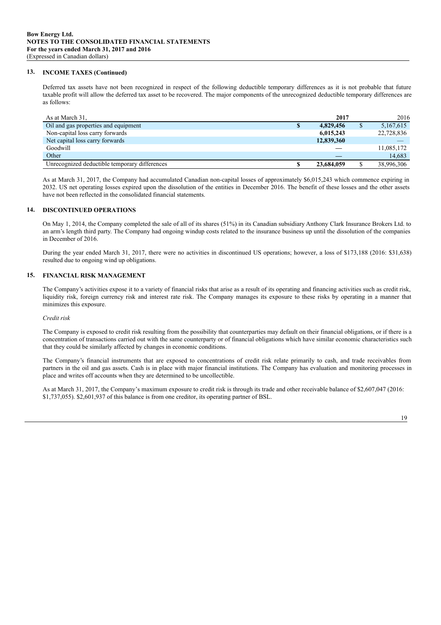#### **13. INCOME TAXES (Continued)**

Deferred tax assets have not been recognized in respect of the following deductible temporary differences as it is not probable that future taxable profit will allow the deferred tax asset to be recovered. The major components of the unrecognized deductible temporary differences are as follows:

| As at March 31,                               |   | 2017       | 2016       |
|-----------------------------------------------|---|------------|------------|
| Oil and gas properties and equipment          | æ | 4,829,456  | 5,167,615  |
| Non-capital loss carry forwards               |   | 6,015,243  | 22,728,836 |
| Net capital loss carry forwards               |   | 12,839,360 |            |
| Goodwill                                      |   |            | 11,085,172 |
| Other                                         |   |            | 14,683     |
| Unrecognized deductible temporary differences |   | 23,684,059 | 38,996,306 |

As at March 31, 2017, the Company had accumulated Canadian non-capital losses of approximately \$6,015,243 which commence expiring in 2032. US net operating losses expired upon the dissolution of the entities in December 2016. The benefit of these losses and the other assets have not been reflected in the consolidated financial statements.

#### **14. DISCONTINUED OPERATIONS**

On May 1, 2014, the Company completed the sale of all of its shares (51%) in its Canadian subsidiary Anthony Clark Insurance Brokers Ltd. to an arm's length third party. The Company had ongoing windup costs related to the insurance business up until the dissolution of the companies in December of 2016.

During the year ended March 31, 2017, there were no activities in discontinued US operations; however, a loss of \$173,188 (2016: \$31,638) resulted due to ongoing wind up obligations.

#### **15. FINANCIAL RISK MANAGEMENT**

The Company's activities expose it to a variety of financial risks that arise as a result of its operating and financing activities such as credit risk, liquidity risk, foreign currency risk and interest rate risk. The Company manages its exposure to these risks by operating in a manner that minimizes this exposure.

#### *Credit risk*

The Company is exposed to credit risk resulting from the possibility that counterparties may default on their financial obligations, or if there is a concentration of transactions carried out with the same counterparty or of financial obligations which have similar economic characteristics such that they could be similarly affected by changes in economic conditions.

The Company's financial instruments that are exposed to concentrations of credit risk relate primarily to cash, and trade receivables from partners in the oil and gas assets. Cash is in place with major financial institutions. The Company has evaluation and monitoring processes in place and writes off accounts when they are determined to be uncollectible.

As at March 31, 2017, the Company's maximum exposure to credit risk is through its trade and other receivable balance of \$2,607,047 (2016: \$1,737,055). \$2,601,937 of this balance is from one creditor, its operating partner of BSL.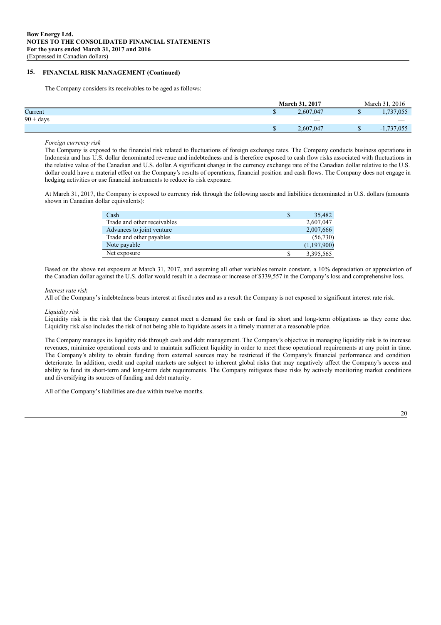#### **15. FINANCIAL RISK MANAGEMENT (Continued)**

The Company considers its receivables to be aged as follows:

|             |   | <b>March 31, 2017</b>    | March 31, 2016              |
|-------------|---|--------------------------|-----------------------------|
| Current     | w | 2.607.047                | .737,055                    |
| $90 + days$ |   | $\overline{\phantom{a}}$ | $\overbrace{\hspace{25mm}}$ |
|             | w | 2,607,047                | 1,737,055<br>$-1$           |

*Foreign currency risk*

The Company is exposed to the financial risk related to fluctuations of foreign exchange rates. The Company conducts business operations in Indonesia and has U.S. dollar denominated revenue and indebtedness and is therefore exposed to cash flow risks associated with fluctuations in the relative value of the Canadian and U.S. dollar. A significant change in the currency exchange rate of the Canadian dollar relative to the U.S. dollar could have a material effect on the Company's results of operations, financial position and cash flows. The Company does not engage in hedging activities or use financial instruments to reduce its risk exposure.

At March 31, 2017, the Company is exposed to currency risk through the following assets and liabilities denominated in U.S. dollars (amounts shown in Canadian dollar equivalents):

| Cash                        | 35,482      |
|-----------------------------|-------------|
| Trade and other receivables | 2,607,047   |
| Advances to joint venture   | 2,007,666   |
| Trade and other payables    | (56,730)    |
| Note payable                | (1,197,900) |
| Net exposure                | 3,395,565   |

Based on the above net exposure at March 31, 2017, and assuming all other variables remain constant, a 10% depreciation or appreciation of the Canadian dollar against the U.S. dollar would result in a decrease or increase of \$339,557 in the Company's loss and comprehensive loss.

#### *Interest rate risk*

All of the Company's indebtedness bears interest at fixed rates and as a result the Company is not exposed to significant interest rate risk.

#### *Liquidity risk*

Liquidity risk is the risk that the Company cannot meet a demand for cash or fund its short and long-term obligations as they come due. Liquidity risk also includes the risk of not being able to liquidate assets in a timely manner at a reasonable price.

The Company manages its liquidity risk through cash and debt management. The Company's objective in managing liquidity risk is to increase revenues, minimize operational costs and to maintain sufficient liquidity in order to meet these operational requirements at any point in time. The Company's ability to obtain funding from external sources may be restricted if the Company's financial performance and condition deteriorate. In addition, credit and capital markets are subject to inherent global risks that may negatively affect the Company's access and ability to fund its short-term and long-term debt requirements. The Company mitigates these risks by actively monitoring market conditions and diversifying its sources of funding and debt maturity.

All of the Company's liabilities are due within twelve months.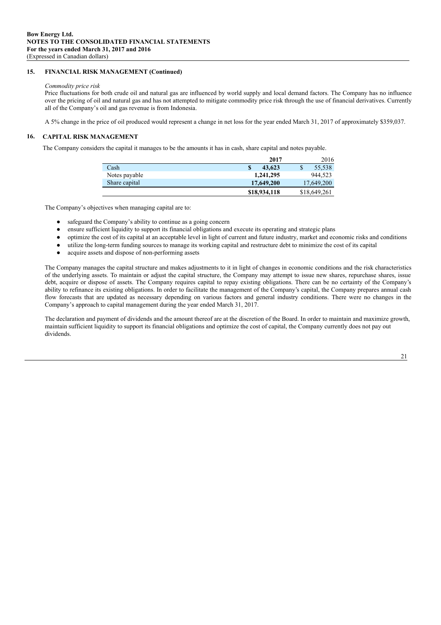#### **15. FINANCIAL RISK MANAGEMENT (Continued)**

#### *Commodity price risk*

Price fluctuations for both crude oil and natural gas are influenced by world supply and local demand factors. The Company has no influence over the pricing of oil and natural gas and has not attempted to mitigate commodity price risk through the use of financial derivatives. Currently all of the Company's oil and gas revenue is from Indonesia.

A 5% change in the price of oil produced would represent a change in net loss for the year ended March 31, 2017 of approximately \$359,037.

#### **16. CAPITAL RISK MANAGEMENT**

The Company considers the capital it manages to be the amounts it has in cash, share capital and notes payable.

|               | 2017         | 2016         |
|---------------|--------------|--------------|
| Cash          | 43.623       | 55.538<br>\$ |
| Notes payable | 1,241,295    | 944.523      |
| Share capital | 17,649,200   | 17,649,200   |
|               | \$18,934,118 | \$18,649,261 |

The Company's objectives when managing capital are to:

- safeguard the Company's ability to continue as a going concern
- ensure sufficient liquidity to support its financial obligations and execute its operating and strategic plans
- optimize the cost of its capital at an acceptable level in light of current and future industry, market and economic risks and conditions
- utilize the long-term funding sources to manage its working capital and restructure debt to minimize the cost of its capital
- acquire assets and dispose of non-performing assets

The Company manages the capital structure and makes adjustments to it in light of changes in economic conditions and the risk characteristics of the underlying assets. To maintain or adjust the capital structure, the Company may attempt to issue new shares, repurchase shares, issue debt, acquire or dispose of assets. The Company requires capital to repay existing obligations. There can be no certainty of the Company's ability to refinance its existing obligations. In order to facilitate the management of the Company's capital, the Company prepares annual cash flow forecasts that are updated as necessary depending on various factors and general industry conditions. There were no changes in the Company's approach to capital management during the year ended March 31, 2017.

The declaration and payment of dividends and the amount thereof are at the discretion of the Board. In order to maintain and maximize growth, maintain sufficient liquidity to support its financial obligations and optimize the cost of capital, the Company currently does not pay out dividends.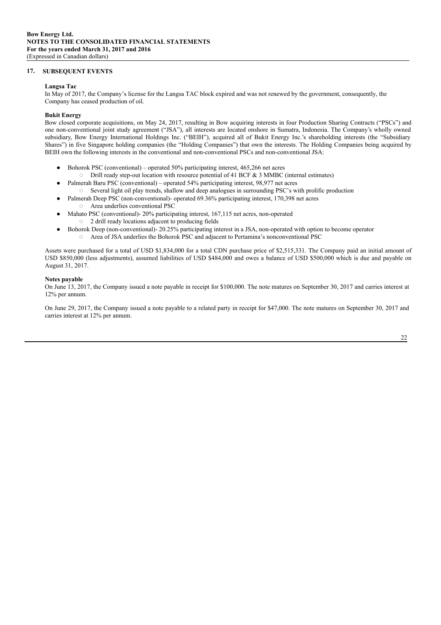#### **17. SUBSEQUENT EVENTS**

#### **Langsa Tac**

In May of 2017, the Company's license for the Langsa TAC block expired and was not renewed by the government, consequently, the Company has ceased production of oil.

#### **Bukit Energy**

Bow closed corporate acquisitions, on May 24, 2017, resulting in Bow acquiring interests in four Production Sharing Contracts ("PSCs") and one non-conventional joint study agreement ("JSA"), all interests are located onshore in Sumatra, Indonesia. The Company's wholly owned subsidiary, Bow Energy International Holdings Inc. ("BEIH"), acquired all of Bukit Energy Inc.'s shareholding interests (the "Subsidiary Shares") in five Singapore holding companies (the "Holding Companies") that own the interests. The Holding Companies being acquired by BEIH own the following interests in the conventional and non-conventional PSCs and non-conventional JSA:

- $\bullet$  Bohorok PSC (conventional) operated 50% participating interest, 465,266 net acres
- Drill ready step-out location with resource potential of 41 BCF & 3 MMBC (internal estimates)
- Palmerah Baru PSC (conventional) operated 54% participating interest, 98,977 net acres Several light oil play trends, shallow and deep analogues in surrounding PSC's with prolific production
- Palmerah Deep PSC (non-conventional)- operated 69.36% participating interest, 170,398 net acres ◌ Area underlies conventional PSC
- Mahato PSC (conventional)- 20% participating interest, 167,115 net acres, non-operated ◌ 2 drill ready locations adjacent to producing fields
	- Bohorok Deep (non-conventional)- 20.25% participating interest in a JSA, non-operated with option to become operator
		- ◌ Area of JSA underlies the Bohorok PSC and adjacent to Pertamina's nonconventional PSC

Assets were purchased for a total of USD \$1,834,000 for a total CDN purchase price of \$2,515,331. The Company paid an initial amount of USD \$850,000 (less adjustments), assumed liabilities of USD \$484,000 and owes a balance of USD \$500,000 which is due and payable on August 31, 2017.

#### **Notes payable**

On June 13, 2017, the Company issued a note payable in receipt for \$100,000. The note matures on September 30, 2017 and carries interest at 12% per annum.

On June 29, 2017, the Company issued a note payable to a related party in receipt for \$47,000. The note matures on September 30, 2017 and carries interest at 12% per annum.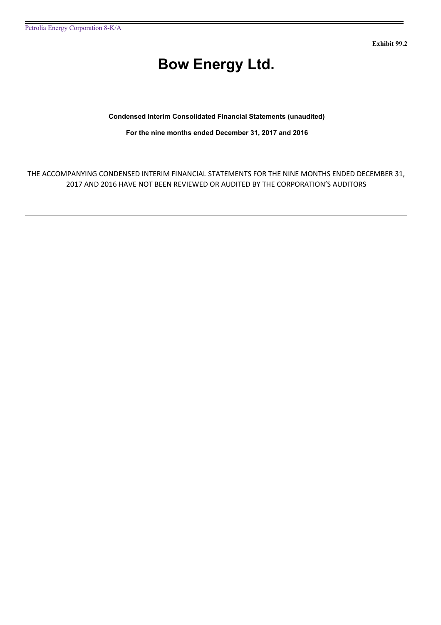**Exhibit 99.2**

# **Bow Energy Ltd.**

# **Condensed Interim Consolidated Financial Statements (unaudited)**

**For the nine months ended December 31, 2017 and 2016**

THE ACCOMPANYING CONDENSED INTERIM FINANCIAL STATEMENTS FOR THE NINE MONTHS ENDED DECEMBER 31, 2017 AND 2016 HAVE NOT BEEN REVIEWED OR AUDITED BY THE CORPORATION'S AUDITORS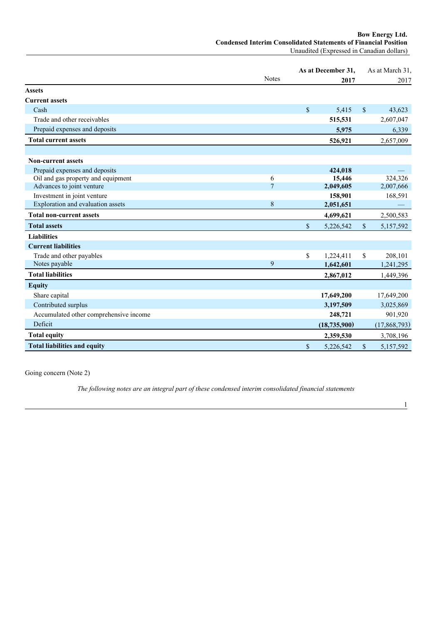**Bow Energy Ltd. Condensed Interim Consolidated Statements of Financial Position** Unaudited (Expressed in Canadian dollars)

|                                                                 |                | As at December 31, |                     |              | As at March 31, |
|-----------------------------------------------------------------|----------------|--------------------|---------------------|--------------|-----------------|
|                                                                 | <b>Notes</b>   |                    | 2017                |              | 2017            |
| <b>Assets</b>                                                   |                |                    |                     |              |                 |
| <b>Current assets</b>                                           |                |                    |                     |              |                 |
| Cash                                                            |                | $\mathbb{S}$       | 5,415               | $\mathbb{S}$ | 43,623          |
| Trade and other receivables                                     |                |                    | 515,531             |              | 2,607,047       |
| Prepaid expenses and deposits                                   |                |                    | 5,975               |              | 6,339           |
| <b>Total current assets</b>                                     |                |                    | 526,921             |              | 2,657,009       |
|                                                                 |                |                    |                     |              |                 |
| <b>Non-current assets</b>                                       |                |                    |                     |              |                 |
| Prepaid expenses and deposits                                   | 6              |                    | 424,018             |              | 324,326         |
| Oil and gas property and equipment<br>Advances to joint venture | $\overline{7}$ |                    | 15,446<br>2,049,605 |              | 2,007,666       |
| Investment in joint venture                                     |                |                    | 158,901             |              | 168,591         |
| Exploration and evaluation assets                               | 8              |                    | 2,051,651           |              |                 |
| <b>Total non-current assets</b>                                 |                |                    | 4,699,621           |              | 2,500,583       |
| <b>Total assets</b>                                             |                | \$                 | 5,226,542           | $\mathbb{S}$ | 5,157,592       |
| <b>Liabilities</b>                                              |                |                    |                     |              |                 |
| <b>Current liabilities</b>                                      |                |                    |                     |              |                 |
| Trade and other payables                                        |                | \$                 | 1,224,411           | $\mathbf S$  | 208,101         |
| Notes payable                                                   | 9              |                    | 1,642,601           |              | 1,241,295       |
| <b>Total liabilities</b>                                        |                |                    | 2,867,012           |              | 1,449,396       |
| <b>Equity</b>                                                   |                |                    |                     |              |                 |
| Share capital                                                   |                |                    | 17,649,200          |              | 17,649,200      |
| Contributed surplus                                             |                |                    | 3,197,509           |              | 3,025,869       |
| Accumulated other comprehensive income                          |                |                    | 248,721             |              | 901,920         |
| Deficit                                                         |                |                    | (18, 735, 900)      |              | (17,868,793)    |
| <b>Total equity</b>                                             |                |                    | 2,359,530           |              | 3,708,196       |
| <b>Total liabilities and equity</b>                             |                | \$                 | 5,226,542           | \$           | 5,157,592       |

Going concern (Note 2)

*The following notes are an integral part of these condensed interim consolidated financial statements*

1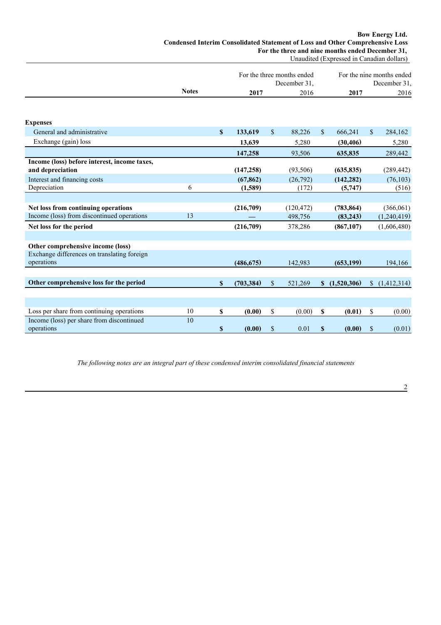#### **Bow Energy Ltd. Condensed Interim Consolidated Statement of Loss and Other Comprehensive Loss For the three and nine months ended December 31,** Unaudited (Expressed in Canadian dollars)

|                                              |              |              |            |              | For the three months ended<br>December 31, |              |             |               | For the nine months ended<br>December 31, |
|----------------------------------------------|--------------|--------------|------------|--------------|--------------------------------------------|--------------|-------------|---------------|-------------------------------------------|
|                                              | <b>Notes</b> |              | 2017       |              | 2016                                       |              | 2017        |               | 2016                                      |
|                                              |              |              |            |              |                                            |              |             |               |                                           |
|                                              |              |              |            |              |                                            |              |             |               |                                           |
| <b>Expenses</b>                              |              |              |            |              |                                            |              |             |               |                                           |
| General and administrative                   |              | $\mathbf{s}$ | 133,619    | \$           | 88,226                                     | $\mathbb{S}$ | 666,241     | $\mathcal{S}$ | 284,162                                   |
| Exchange (gain) loss                         |              |              | 13,639     |              | 5,280                                      |              | (30, 406)   |               | 5,280                                     |
|                                              |              |              | 147,258    |              | 93,506                                     |              | 635,835     |               | 289,442                                   |
| Income (loss) before interest, income taxes, |              |              |            |              |                                            |              |             |               |                                           |
| and depreciation                             |              |              | (147, 258) |              | (93, 506)                                  |              | (635, 835)  |               | (289, 442)                                |
| Interest and financing costs                 |              |              | (67, 862)  |              | (26,792)                                   |              | (142, 282)  |               | (76, 103)                                 |
| Depreciation                                 | 6            |              | (1,589)    |              | (172)                                      |              | (5,747)     |               | (516)                                     |
|                                              |              |              |            |              |                                            |              |             |               |                                           |
| Net loss from continuing operations          |              |              | (216,709)  |              | (120, 472)                                 |              | (783, 864)  |               | (366,061)                                 |
| Income (loss) from discontinued operations   | 13           |              |            |              | 498,756                                    |              | (83, 243)   |               | (1,240,419)                               |
| Net loss for the period                      |              |              | (216,709)  |              | 378,286                                    |              | (867, 107)  |               | (1,606,480)                               |
|                                              |              |              |            |              |                                            |              |             |               |                                           |
| Other comprehensive income (loss)            |              |              |            |              |                                            |              |             |               |                                           |
| Exchange differences on translating foreign  |              |              |            |              |                                            |              |             |               |                                           |
| operations                                   |              |              | (486, 675) |              | 142,983                                    |              | (653, 199)  |               | 194,166                                   |
|                                              |              |              |            |              |                                            |              |             |               |                                           |
| Other comprehensive loss for the period      |              | \$           | (703, 384) | $\mathbb{S}$ | 521,269                                    | S            | (1,520,306) | $\mathbb{S}$  | (1,412,314)                               |
|                                              |              |              |            |              |                                            |              |             |               |                                           |
|                                              |              |              |            |              |                                            |              |             |               |                                           |
| Loss per share from continuing operations    | 10           | $\mathbf S$  | (0.00)     | \$           | (0.00)                                     | S            | (0.01)      | \$            | (0.00)                                    |
| Income (loss) per share from discontinued    | 10           |              |            |              |                                            |              |             |               |                                           |
| operations                                   |              | \$           | (0.00)     | \$           | 0.01                                       | \$           | (0.00)      | \$            | (0.01)                                    |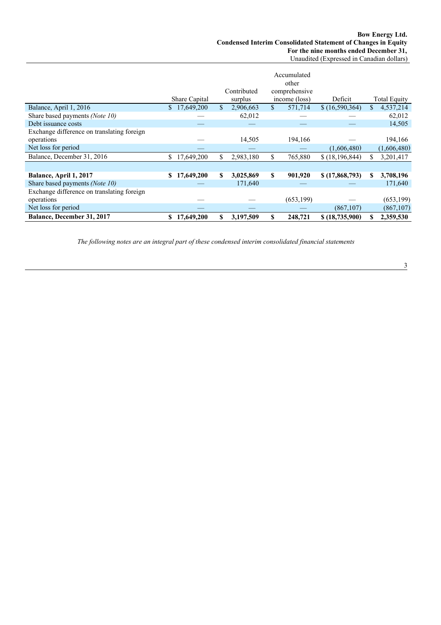|                                            |                  | Accumulated<br>other<br>Contributed<br>comprehensive |           |              |               |                  |    |                     |
|--------------------------------------------|------------------|------------------------------------------------------|-----------|--------------|---------------|------------------|----|---------------------|
|                                            | Share Capital    |                                                      | surplus   |              | income (loss) | Deficit          |    | <b>Total Equity</b> |
| Balance, April 1, 2016                     | 17,649,200<br>S. | \$                                                   | 2,906,663 | \$.          | 571,714       | \$(16,590,364)   | S. | 4,537,214           |
| Share based payments (Note 10)             |                  |                                                      | 62,012    |              |               |                  |    | 62,012              |
| Debt issuance costs                        |                  |                                                      |           |              |               |                  |    | 14,505              |
| Exchange difference on translating foreign |                  |                                                      |           |              |               |                  |    |                     |
| operations                                 |                  |                                                      | 14,505    |              | 194,166       |                  |    | 194,166             |
| Net loss for period                        |                  |                                                      |           |              |               | (1,606,480)      |    | (1,606,480)         |
| Balance, December 31, 2016                 | 17,649,200<br>S  | \$                                                   | 2,983,180 | $\mathbb{S}$ | 765,880       | \$(18, 196, 844) |    | 3,201,417           |
|                                            |                  |                                                      |           |              |               |                  |    |                     |
| Balance, April 1, 2017                     | 17,649,200<br>S. | S                                                    | 3,025,869 | \$           | 901,920       | \$(17,868,793)   | S  | 3,708,196           |
| Share based payments (Note 10)             |                  |                                                      | 171,640   |              |               |                  |    | 171,640             |
| Exchange difference on translating foreign |                  |                                                      |           |              |               |                  |    |                     |
| operations                                 |                  |                                                      |           |              | (653, 199)    |                  |    | (653, 199)          |
| Net loss for period                        |                  |                                                      |           |              |               | (867, 107)       |    | (867, 107)          |
| Balance, December 31, 2017                 | 17,649,200<br>\$ | \$                                                   | 3,197,509 | S            | 248,721       | \$(18,735,900)   |    | 2,359,530           |

*The following notes are an integral part of these condensed interim consolidated financial statements*

3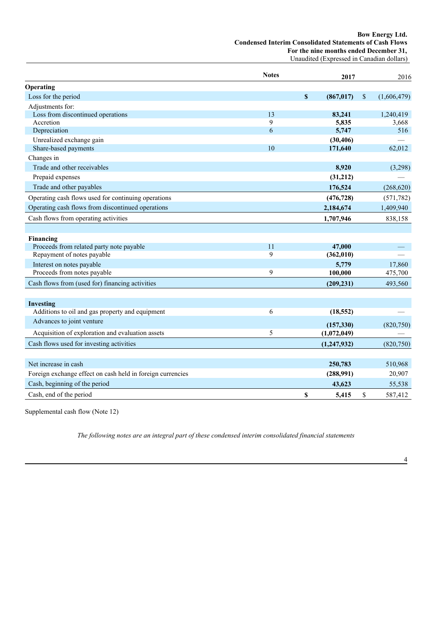#### **Bow Energy Ltd. Condensed Interim Consolidated Statements of Cash Flows For the nine months ended December 31,** Unaudited (Expressed in Canadian dollars)

|                                                            | <b>Notes</b> |              | 2017          |              | 2016        |
|------------------------------------------------------------|--------------|--------------|---------------|--------------|-------------|
| Operating                                                  |              |              |               |              |             |
| Loss for the period                                        |              | $\mathbf{s}$ | (867, 017)    | $\mathbb{S}$ | (1,606,479) |
| Adjustments for:                                           |              |              |               |              |             |
| Loss from discontinued operations                          | 13           |              | 83,241        |              | 1,240,419   |
| Accretion                                                  | 9            |              | 5,835         |              | 3,668       |
| Depreciation                                               | 6            |              | 5,747         |              | 516         |
| Unrealized exchange gain                                   |              |              | (30, 406)     |              |             |
| Share-based payments                                       | 10           |              | 171,640       |              | 62,012      |
| Changes in                                                 |              |              |               |              |             |
| Trade and other receivables                                |              |              | 8,920         |              | (3,298)     |
| Prepaid expenses                                           |              |              | (31,212)      |              |             |
| Trade and other payables                                   |              |              | 176,524       |              | (268, 620)  |
| Operating cash flows used for continuing operations        |              |              | (476, 728)    |              | (571, 782)  |
| Operating cash flows from discontinued operations          |              |              | 2,184,674     |              | 1,409,940   |
| Cash flows from operating activities                       |              |              | 1,707,946     |              | 838,158     |
|                                                            |              |              |               |              |             |
| Financing                                                  |              |              |               |              |             |
| Proceeds from related party note payable                   | 11           |              | 47,000        |              |             |
| Repayment of notes payable                                 | 9            |              | (362, 010)    |              |             |
| Interest on notes payable                                  |              |              | 5,779         |              | 17,860      |
| Proceeds from notes payable                                | 9            |              | 100,000       |              | 475,700     |
| Cash flows from (used for) financing activities            |              |              | (209, 231)    |              | 493,560     |
|                                                            |              |              |               |              |             |
| Investing                                                  |              |              |               |              |             |
| Additions to oil and gas property and equipment            | 6            |              | (18, 552)     |              |             |
| Advances to joint venture                                  |              |              | (157, 330)    |              | (820,750)   |
| Acquisition of exploration and evaluation assets           | 5            |              | (1,072,049)   |              |             |
| Cash flows used for investing activities                   |              |              | (1, 247, 932) |              | (820,750)   |
|                                                            |              |              |               |              |             |
| Net increase in cash                                       |              |              | 250,783       |              | 510,968     |
| Foreign exchange effect on cash held in foreign currencies |              |              | (288,991)     |              | 20,907      |
| Cash, beginning of the period                              |              |              | 43,623        |              | 55,538      |
| Cash, end of the period                                    |              | \$           | 5,415         | \$           | 587,412     |

Supplemental cash flow (Note 12)

*The following notes are an integral part of these condensed interim consolidated financial statements*

4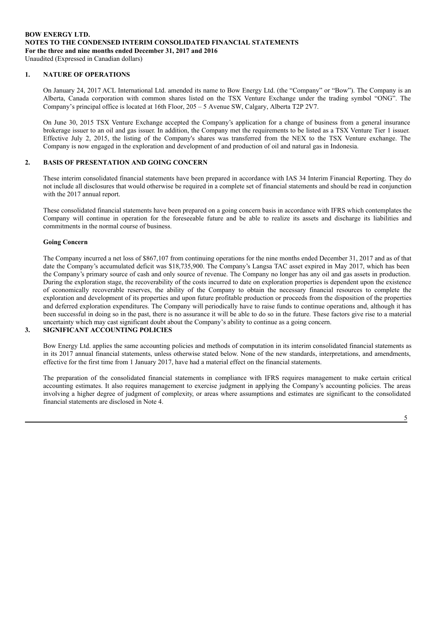#### **1. NATURE OF OPERATIONS**

On January 24, 2017 ACL International Ltd. amended its name to Bow Energy Ltd. (the "Company" or "Bow"). The Company is an Alberta, Canada corporation with common shares listed on the TSX Venture Exchange under the trading symbol "ONG". The Company's principal office is located at 16th Floor, 205 – 5 Avenue SW, Calgary, Alberta T2P 2V7.

On June 30, 2015 TSX Venture Exchange accepted the Company's application for a change of business from a general insurance brokerage issuer to an oil and gas issuer. In addition, the Company met the requirements to be listed as a TSX Venture Tier 1 issuer. Effective July 2, 2015, the listing of the Company's shares was transferred from the NEX to the TSX Venture exchange. The Company is now engaged in the exploration and development of and production of oil and natural gas in Indonesia.

#### **2. BASIS OF PRESENTATION AND GOING CONCERN**

These interim consolidated financial statements have been prepared in accordance with IAS 34 Interim Financial Reporting. They do not include all disclosures that would otherwise be required in a complete set of financial statements and should be read in conjunction with the 2017 annual report.

These consolidated financial statements have been prepared on a going concern basis in accordance with IFRS which contemplates the Company will continue in operation for the foreseeable future and be able to realize its assets and discharge its liabilities and commitments in the normal course of business.

#### **Going Concern**

The Company incurred a net loss of \$867,107 from continuing operations for the nine months ended December 31, 2017 and as of that date the Company's accumulated deficit was \$18,735,900. The Company's Langsa TAC asset expired in May 2017, which has been the Company's primary source of cash and only source of revenue. The Company no longer has any oil and gas assets in production. During the exploration stage, the recoverability of the costs incurred to date on exploration properties is dependent upon the existence of economically recoverable reserves, the ability of the Company to obtain the necessary financial resources to complete the exploration and development of its properties and upon future profitable production or proceeds from the disposition of the properties and deferred exploration expenditures. The Company will periodically have to raise funds to continue operations and, although it has been successful in doing so in the past, there is no assurance it will be able to do so in the future. These factors give rise to a material uncertainty which may cast significant doubt about the Company's ability to continue as a going concern.

# **3. SIGNIFICANT ACCOUNTING POLICIES**

Bow Energy Ltd. applies the same accounting policies and methods of computation in its interim consolidated financial statements as in its 2017 annual financial statements, unless otherwise stated below. None of the new standards, interpretations, and amendments, effective for the first time from 1 January 2017, have had a material effect on the financial statements.

The preparation of the consolidated financial statements in compliance with IFRS requires management to make certain critical accounting estimates. It also requires management to exercise judgment in applying the Company's accounting policies. The areas involving a higher degree of judgment of complexity, or areas where assumptions and estimates are significant to the consolidated financial statements are disclosed in Note 4.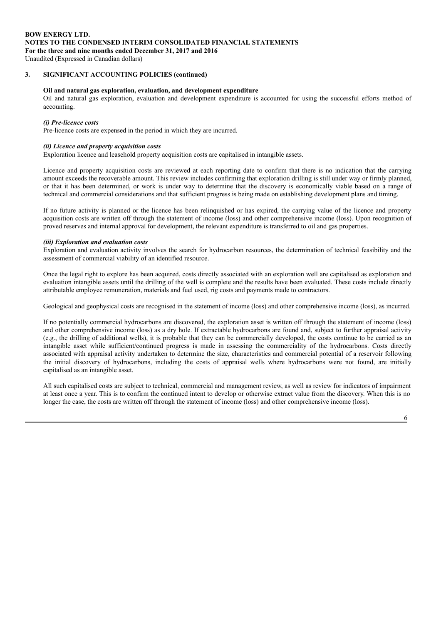# **BOW ENERGY LTD. NOTES TO THE CONDENSED INTERIM CONSOLIDATED FINANCIAL STATEMENTS For the three and nine months ended December 31, 2017 and 2016**

Unaudited (Expressed in Canadian dollars)

### **3. SIGNIFICANT ACCOUNTING POLICIES (continued)**

#### **Oil and natural gas exploration, evaluation, and development expenditure**

Oil and natural gas exploration, evaluation and development expenditure is accounted for using the successful efforts method of accounting.

#### *(i) Pre-licence costs*

Pre-licence costs are expensed in the period in which they are incurred.

#### *(ii) Licence and property acquisition costs*

Exploration licence and leasehold property acquisition costs are capitalised in intangible assets.

Licence and property acquisition costs are reviewed at each reporting date to confirm that there is no indication that the carrying amount exceeds the recoverable amount. This review includes confirming that exploration drilling is still under way or firmly planned, or that it has been determined, or work is under way to determine that the discovery is economically viable based on a range of technical and commercial considerations and that sufficient progress is being made on establishing development plans and timing.

If no future activity is planned or the licence has been relinquished or has expired, the carrying value of the licence and property acquisition costs are written off through the statement of income (loss) and other comprehensive income (loss). Upon recognition of proved reserves and internal approval for development, the relevant expenditure is transferred to oil and gas properties.

#### *(iii) Exploration and evaluation costs*

Exploration and evaluation activity involves the search for hydrocarbon resources, the determination of technical feasibility and the assessment of commercial viability of an identified resource.

Once the legal right to explore has been acquired, costs directly associated with an exploration well are capitalised as exploration and evaluation intangible assets until the drilling of the well is complete and the results have been evaluated. These costs include directly attributable employee remuneration, materials and fuel used, rig costs and payments made to contractors.

Geological and geophysical costs are recognised in the statement of income (loss) and other comprehensive income (loss), as incurred.

If no potentially commercial hydrocarbons are discovered, the exploration asset is written off through the statement of income (loss) and other comprehensive income (loss) as a dry hole. If extractable hydrocarbons are found and, subject to further appraisal activity (e.g., the drilling of additional wells), it is probable that they can be commercially developed, the costs continue to be carried as an intangible asset while sufficient/continued progress is made in assessing the commerciality of the hydrocarbons. Costs directly associated with appraisal activity undertaken to determine the size, characteristics and commercial potential of a reservoir following the initial discovery of hydrocarbons, including the costs of appraisal wells where hydrocarbons were not found, are initially capitalised as an intangible asset.

All such capitalised costs are subject to technical, commercial and management review, as well as review for indicators of impairment at least once a year. This is to confirm the continued intent to develop or otherwise extract value from the discovery. When this is no longer the case, the costs are written off through the statement of income (loss) and other comprehensive income (loss).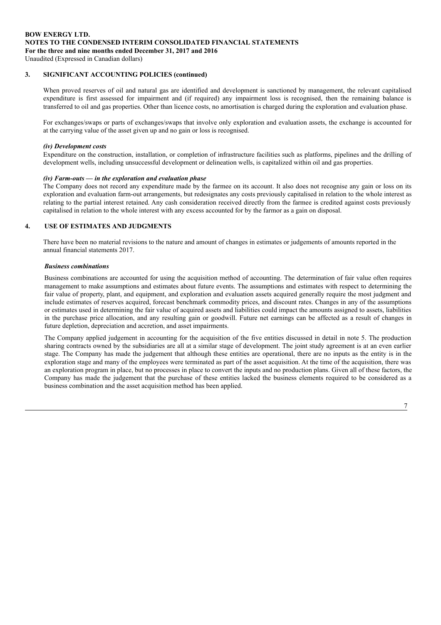# **BOW ENERGY LTD. NOTES TO THE CONDENSED INTERIM CONSOLIDATED FINANCIAL STATEMENTS For the three and nine months ended December 31, 2017 and 2016**

Unaudited (Expressed in Canadian dollars)

#### **3. SIGNIFICANT ACCOUNTING POLICIES (continued)**

When proved reserves of oil and natural gas are identified and development is sanctioned by management, the relevant capitalised expenditure is first assessed for impairment and (if required) any impairment loss is recognised, then the remaining balance is transferred to oil and gas properties. Other than licence costs, no amortisation is charged during the exploration and evaluation phase.

For exchanges/swaps or parts of exchanges/swaps that involve only exploration and evaluation assets, the exchange is accounted for at the carrying value of the asset given up and no gain or loss is recognised.

#### *(iv) Development costs*

Expenditure on the construction, installation, or completion of infrastructure facilities such as platforms, pipelines and the drilling of development wells, including unsuccessful development or delineation wells, is capitalized within oil and gas properties.

#### *(iv) Farm-outs — in the exploration and evaluation phase*

The Company does not record any expenditure made by the farmee on its account. It also does not recognise any gain or loss on its exploration and evaluation farm-out arrangements, but redesignates any costs previously capitalised in relation to the whole interest as relating to the partial interest retained. Any cash consideration received directly from the farmee is credited against costs previously capitalised in relation to the whole interest with any excess accounted for by the farmor as a gain on disposal.

#### **4. USE OF ESTIMATES AND JUDGMENTS**

There have been no material revisions to the nature and amount of changes in estimates or judgements of amounts reported in the annual financial statements 2017.

#### *Business combinations*

Business combinations are accounted for using the acquisition method of accounting. The determination of fair value often requires management to make assumptions and estimates about future events. The assumptions and estimates with respect to determining the fair value of property, plant, and equipment, and exploration and evaluation assets acquired generally require the most judgment and include estimates of reserves acquired, forecast benchmark commodity prices, and discount rates. Changes in any of the assumptions or estimates used in determining the fair value of acquired assets and liabilities could impact the amounts assigned to assets, liabilities in the purchase price allocation, and any resulting gain or goodwill. Future net earnings can be affected as a result of changes in future depletion, depreciation and accretion, and asset impairments.

The Company applied judgement in accounting for the acquisition of the five entities discussed in detail in note 5. The production sharing contracts owned by the subsidiaries are all at a similar stage of development. The joint study agreement is at an even earlier stage. The Company has made the judgement that although these entities are operational, there are no inputs as the entity is in the exploration stage and many of the employees were terminated as part of the asset acquisition. At the time of the acquisition, there was an exploration program in place, but no processes in place to convert the inputs and no production plans. Given all of these factors, the Company has made the judgement that the purchase of these entities lacked the business elements required to be considered as a business combination and the asset acquisition method has been applied.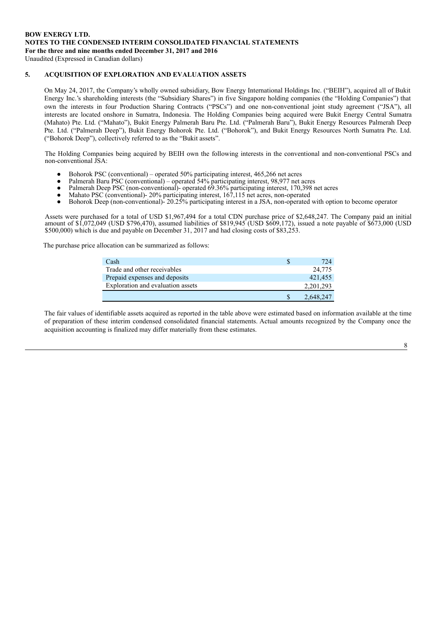# **5. ACQUISITION OF EXPLORATION AND EVALUATION ASSETS**

On May 24, 2017, the Company's wholly owned subsidiary, Bow Energy International Holdings Inc. ("BEIH"), acquired all of Bukit Energy Inc.'s shareholding interests (the "Subsidiary Shares") in five Singapore holding companies (the "Holding Companies") that own the interests in four Production Sharing Contracts ("PSCs") and one non-conventional joint study agreement ("JSA"), all interests are located onshore in Sumatra, Indonesia. The Holding Companies being acquired were Bukit Energy Central Sumatra (Mahato) Pte. Ltd. ("Mahato"), Bukit Energy Palmerah Baru Pte. Ltd. ("Palmerah Baru"), Bukit Energy Resources Palmerah Deep Pte. Ltd. ("Palmerah Deep"), Bukit Energy Bohorok Pte. Ltd. ("Bohorok"), and Bukit Energy Resources North Sumatra Pte. Ltd. ("Bohorok Deep"), collectively referred to as the "Bukit assets".

The Holding Companies being acquired by BEIH own the following interests in the conventional and non-conventional PSCs and non-conventional JSA:

- Bohorok PSC (conventional) operated 50% participating interest, 465,266 net acres
- Palmerah Baru PSC (conventional) operated 54% participating interest, 98,977 net acres
- Palmerah Deep PSC (non-conventional)- operated 69.36% participating interest, 170,398 net acres
- Mahato PSC (conventional)- 20% participating interest, 167,115 net acres, non-operated
- Bohorok Deep (non-conventional)- 20.25% participating interest in a JSA, non-operated with option to become operator

Assets were purchased for a total of USD \$1,967,494 for a total CDN purchase price of \$2,648,247. The Company paid an initial amount of \$1,072,049 (USD \$796,470), assumed liabilities of \$819,945 (USD \$609,172), issued a note payable of \$673,000 (USD \$500,000) which is due and payable on December 31, 2017 and had closing costs of \$83,253.

The purchase price allocation can be summarized as follows:

| Cash                              | 724       |
|-----------------------------------|-----------|
| Trade and other receivables       | 24,775    |
| Prepaid expenses and deposits     | 421,455   |
| Exploration and evaluation assets | 2.201.293 |
|                                   | 2,648,247 |

The fair values of identifiable assets acquired as reported in the table above were estimated based on information available at the time of preparation of these interim condensed consolidated financial statements. Actual amounts recognized by the Company once the acquisition accounting is finalized may differ materially from these estimates.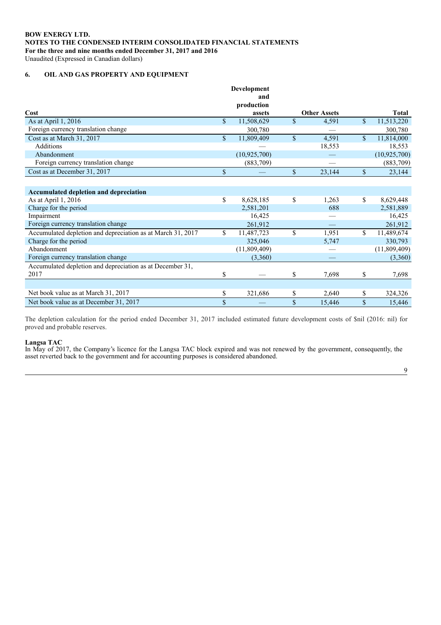# **6. OIL AND GAS PROPERTY AND EQUIPMENT**

|                                                             |              | Development    |              |                     |              |              |
|-------------------------------------------------------------|--------------|----------------|--------------|---------------------|--------------|--------------|
|                                                             |              | and            |              |                     |              |              |
|                                                             |              | production     |              |                     |              |              |
| Cost                                                        |              | assets         |              | <b>Other Assets</b> |              | <b>Total</b> |
| As at April 1, 2016                                         | $\mathbb{S}$ | 11,508,629     | $\mathbf S$  | 4,591               | $\mathbb{S}$ | 11,513,220   |
| Foreign currency translation change                         |              | 300,780        |              |                     |              | 300,780      |
| Cost as at March 31, 2017                                   | $\mathbb{S}$ | 11,809,409     | $\mathbb{S}$ | 4,591               | $\mathbf S$  | 11,814,000   |
| <b>Additions</b>                                            |              |                |              | 18,553              |              | 18,553       |
| Abandonment                                                 |              | (10, 925, 700) |              |                     |              | (10,925,700) |
| Foreign currency translation change                         |              | (883,709)      |              |                     |              | (883,709)    |
| Cost as at December 31, 2017                                | \$           |                | \$           | 23,144              | \$           | 23,144       |
|                                                             |              |                |              |                     |              |              |
| Accumulated depletion and depreciation                      |              |                |              |                     |              |              |
| As at April 1, 2016                                         | \$           | 8,628,185      | \$           | 1,263               | \$           | 8,629,448    |
| Charge for the period                                       |              | 2,581,201      |              | 688                 |              | 2,581,889    |
| Impairment                                                  |              | 16.425         |              |                     |              | 16,425       |
| Foreign currency translation change                         |              | 261,912        |              |                     |              | 261,912      |
| Accumulated depletion and depreciation as at March 31, 2017 | $\mathbb{S}$ | 11,487,723     | $\mathbb{S}$ | 1,951               | \$.          | 11,489,674   |
| Charge for the period                                       |              | 325,046        |              | 5,747               |              | 330,793      |
| Abandonment                                                 |              | (11,809,409)   |              |                     |              | (11,809,409) |
| Foreign currency translation change                         |              | (3,360)        |              |                     |              | (3,360)      |
| Accumulated depletion and depreciation as at December 31,   |              |                |              |                     |              |              |
| 2017                                                        | \$           |                | \$           | 7,698               | \$           | 7,698        |
|                                                             |              |                |              |                     |              |              |
| Net book value as at March 31, 2017                         | \$           | 321,686        | \$           | 2,640               | \$           | 324,326      |
| Net book value as at December 31, 2017                      | \$           |                | \$           | 15,446              | \$           | 15,446       |

The depletion calculation for the period ended December 31, 2017 included estimated future development costs of \$nil (2016: nil) for proved and probable reserves.

#### **Langsa TAC**

In May of 2017, the Company's licence for the Langsa TAC block expired and was not renewed by the government, consequently, the asset reverted back to the government and for accounting purposes is considered abandoned.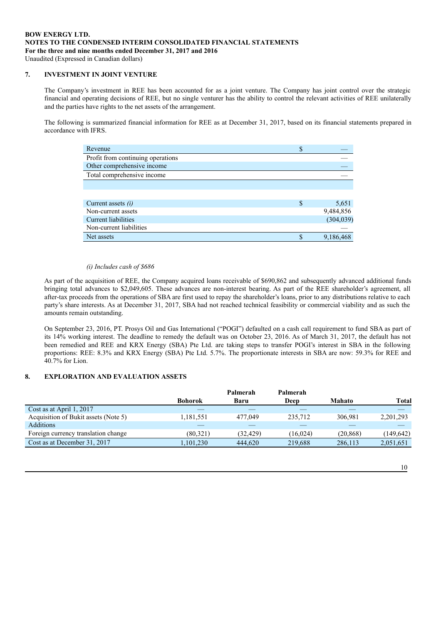# **7. INVESTMENT IN JOINT VENTURE**

The Company's investment in REE has been accounted for as a joint venture. The Company has joint control over the strategic financial and operating decisions of REE, but no single venturer has the ability to control the relevant activities of REE unilaterally and the parties have rights to the net assets of the arrangement.

The following is summarized financial information for REE as at December 31, 2017, based on its financial statements prepared in accordance with IFRS.

| Revenue                           | S  |            |
|-----------------------------------|----|------------|
| Profit from continuing operations |    |            |
| Other comprehensive income        |    |            |
| Total comprehensive income        |    |            |
|                                   |    |            |
|                                   |    |            |
| Current assets $(i)$              | \$ | 5,651      |
| Non-current assets                |    | 9,484,856  |
| <b>Current liabilities</b>        |    | (304, 039) |
| Non-current liabilities           |    |            |
| Net assets                        |    | 9.186.468  |

#### *(i) Includes cash of \$686*

As part of the acquisition of REE, the Company acquired loans receivable of \$690,862 and subsequently advanced additional funds bringing total advances to \$2,049,605. These advances are non-interest bearing. As part of the REE shareholder's agreement, all after-tax proceeds from the operations of SBA are first used to repay the shareholder's loans, prior to any distributions relative to each party's share interests. As at December 31, 2017, SBA had not reached technical feasibility or commercial viability and as such the amounts remain outstanding.

On September 23, 2016, PT. Prosys Oil and Gas International ("POGI") defaulted on a cash call requirement to fund SBA as part of its 14% working interest. The deadline to remedy the default was on October 23, 2016. As of March 31, 2017, the default has not been remedied and REE and KRX Energy (SBA) Pte Ltd. are taking steps to transfer POGI's interest in SBA in the following proportions: REE: 8.3% and KRX Energy (SBA) Pte Ltd. 5.7%. The proportionate interests in SBA are now: 59.3% for REE and 40.7% for Lion.

# **8. EXPLORATION AND EVALUATION ASSETS**

|                                      |                | Palmerah | Palmerah |               |            |
|--------------------------------------|----------------|----------|----------|---------------|------------|
|                                      | <b>Bohorok</b> | Baru     | Deep     | <b>Mahato</b> | Total      |
| Cost as at April 1, 2017             |                |          |          |               |            |
| Acquisition of Bukit assets (Note 5) | 1.181.551      | 477.049  | 235,712  | 306.981       | 2,201,293  |
| <b>Additions</b>                     |                |          |          |               |            |
| Foreign currency translation change  | (80.321)       | (32.429) | (16.024) | (20.868)      | (149, 642) |
| Cost as at December 31, 2017         | 1.101.230      | 444,620  | 219,688  | 286,113       | 2,051,651  |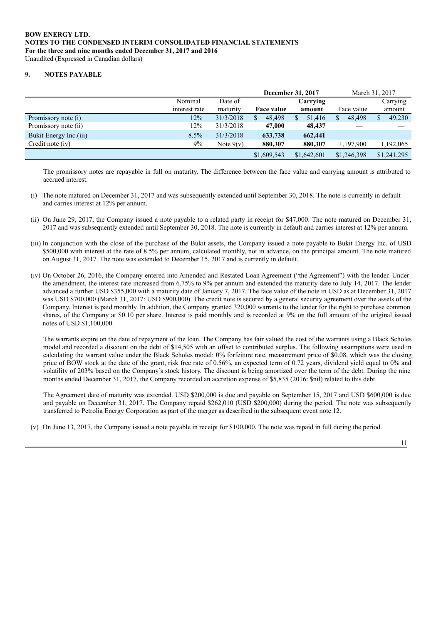#### **9. NOTES PAYABLE**

|                        |               |             |             | December 31, 2017 | March 31, 2017 |             |  |
|------------------------|---------------|-------------|-------------|-------------------|----------------|-------------|--|
|                        | Nominal       | Date of     |             | Carrying          |                | Carrying    |  |
|                        | interest rate | maturity    | Face value  | amount            | Face value     | amount      |  |
| Promissory note (i)    | 12%           | 31/3/2018   | 48.498      | 51.416            | 48,498         | 49,230      |  |
| Promissory note (ii)   | 12%           | 31/3/2018   | 47,000      | 48,437            |                |             |  |
| Bukit Energy Inc.(iii) | 8.5%          | 31/3/2018   | 633,738     | 662,441           |                |             |  |
| Credit note (iv)       | $9\%$         | Note $9(v)$ | 880,307     | 880,307           | 1.197.900      | 1,192,065   |  |
|                        |               |             | \$1,609,543 | \$1,642,601       | \$1,246,398    | \$1,241,295 |  |

The promissory notes are repayable in full on maturity. The difference between the face value and carrying amount is attributed to accrued interest.

- (i) The note matured on December 31, 2017 and was subsequently extended until September 30, 2018. The note is currently in default and carries interest at 12% per annum.
- (ii) On June 29, 2017, the Company issued a note payable to a related party in receipt for \$47,000. The note matured on December 31, 2017 and was subsequently extended until September 30, 2018. The note is currently in default and carries interest at 12% per annum.
- (iii) In conjunction with the close of the purchase of the Bukit assets, the Company issued a note payable to Bukit Energy Inc. of USD \$500,000 with interest at the rate of 8.5% per annum, calculated monthly, not in advance, on the principal amount. The note matured on August 31, 2017. The note was extended to December 15, 2017 and is currently in default.
- (iv) On October 26, 2016, the Company entered into Amended and Restated Loan Agreement ("the Agreement") with the lender. Under the amendment, the interest rate increased from 6.75% to 9% per annum and extended the maturity date to July 14, 2017. The lender advanced a further USD \$355,000 with a maturity date of January 7, 2017. The face value of the note in USD as at December 31, 2017 was USD \$700,000 (March 31, 2017: USD \$900,000). The credit note is secured by a general security agreement over the assets of the Company. Interest is paid monthly. In addition, the Company granted 320,000 warrants to the lender for the right to purchase common shares, of the Company at \$0.10 per share. Interest is paid monthly and is recorded at 9% on the full amount of the original issued notes of USD \$1,100,000.

The warrants expire on the date of repayment of the loan. The Company has fair valued the cost of the warrants using a Black Scholes model and recorded a discount on the debt of \$14,505 with an offset to contributed surplus. The following assumptions were used in calculating the warrant value under the Black Scholes model: 0% forfeiture rate, measurement price of \$0.08, which was the closing price of BOW stock at the date of the grant, risk free rate of 0.56%, an expected term of 0.72 years, dividend yield equal to 0% and volatility of 203% based on the Company's stock history. The discount is being amortized over the term of the debt. During the nine months ended December 31, 2017, the Company recorded an accretion expense of \$5,835 (2016: \$nil) related to this debt.

The Agreement date of maturity was extended. USD \$200,000 is due and payable on September 15, 2017 and USD \$600,000 is due and payable on December 31, 2017. The Company repaid \$262,010 (USD \$200,000) during the period. The note was subsequently transferred to Petrolia Energy Corporation as part of the merger as described in the subsequent event note 12.

(v) On June 13, 2017, the Company issued a note payable in receipt for \$100,000. The note was repaid in full during the period.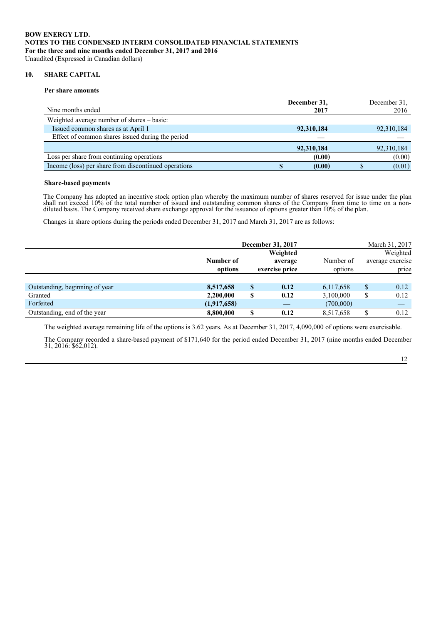#### **10. SHARE CAPITAL**

#### **Per share amounts**

| Nine months ended                                    | December 31,<br>2017 | December 31.<br>2016 |
|------------------------------------------------------|----------------------|----------------------|
| Weighted average number of shares – basic:           |                      |                      |
| Issued common shares as at April 1                   | 92,310,184           | 92,310,184           |
| Effect of common shares issued during the period     |                      |                      |
|                                                      | 92,310,184           | 92,310,184           |
| Loss per share from continuing operations            | (0.00)               | (0.00)               |
| Income (loss) per share from discontinued operations | (0.00)               | (0.01)               |

#### **Share-based payments**

The Company has adopted an incentive stock option plan whereby the maximum number of shares reserved for issue under the plan shall not exceed 10% of the total number of issued and outstanding common shares of the Company from time to time on a nondiluted basis. The Company received share exchange approval for the issuance of options greater than 10% of the plan.

Changes in share options during the periods ended December 31, 2017 and March 31, 2017 are as follows:

|                                |                      |                                       | December 31, 2017 |           |    | March 31, 2017 |  |                      |  |                                       |
|--------------------------------|----------------------|---------------------------------------|-------------------|-----------|----|----------------|--|----------------------|--|---------------------------------------|
|                                | Number of<br>options | Weighted<br>average<br>exercise price |                   |           |    |                |  | Number of<br>options |  | Weighted<br>average exercise<br>price |
|                                |                      |                                       |                   |           |    |                |  |                      |  |                                       |
| Outstanding, beginning of year | 8,517,658            | S                                     | 0.12              | 6,117,658 | \$ | 0.12           |  |                      |  |                                       |
| Granted                        | 2,200,000            | \$                                    | 0.12              | 3,100,000 | \$ | 0.12           |  |                      |  |                                       |
| Forfeited                      | (1,917,658)          |                                       |                   | (700,000) |    |                |  |                      |  |                                       |
| Outstanding, end of the year   | 8.800.000            | ¢                                     | 0.12              | 8,517,658 | Φ  | 0.12           |  |                      |  |                                       |

The weighted average remaining life of the options is 3.62 years. As at December 31, 2017, 4,090,000 of options were exercisable.

The Company recorded a share-based payment of \$171,640 for the period ended December 31, 2017 (nine months ended December 31, 2016: \$62,012).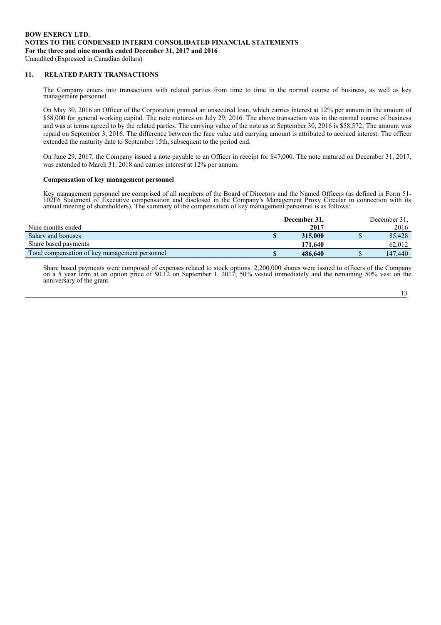# **11. RELATED PARTY TRANSACTIONS**

The Company enters into transactions with related parties from time to time in the normal course of business, as well as key management personnel.

On May 30, 2016 an Officer of the Corporation granted an unsecured loan, which carries interest at 12% per annum in the amount of \$58,000 for general working capital. The note matures on July 29, 2016. The above transaction was in the normal course of business and was at terms agreed to by the related parties. The carrying value of the note as at September 30, 2016 is \$58,572; The amount was repaid on September 3, 2016. The difference between the face value and carrying amount is attributed to accrued interest. The officer extended the maturity date to September 15th, subsequent to the period end.

On June 29, 2017, the Company issued a note payable to an Officer in receipt for \$47,000. The note matured on December 31, 2017, was extended to March 31, 2018 and carries interest at 12% per annum.

# **Compensation of key management personnel**

Key management personnel are comprised of all members of the Board of Directors and the Named Officers (as defined in Form 51- 102F6 Statement of Executive compensation and disclosed in the Company's Management Proxy Circular in connection with its annual meeting of shareholders). The summary of the compensation of key management personnel is as follows:

|                                                | December 31,  | December 31, |
|------------------------------------------------|---------------|--------------|
| Nine months ended                              | 2017          | 2016         |
| Salary and bonuses                             | \$<br>315,000 | 85.428       |
| Share based payments                           | 171,640       | 62.012       |
| Total compensation of key management personnel | 486,640       | 147,440      |

Share based payments were composed of expenses related to stock options. 2,200,000 shares were issued to officers of the Company on a 5 year term at an option price of \$0.12 on September 1, 2017; 50% vested immediately and the remaining 50% vest on the anniversary of the grant.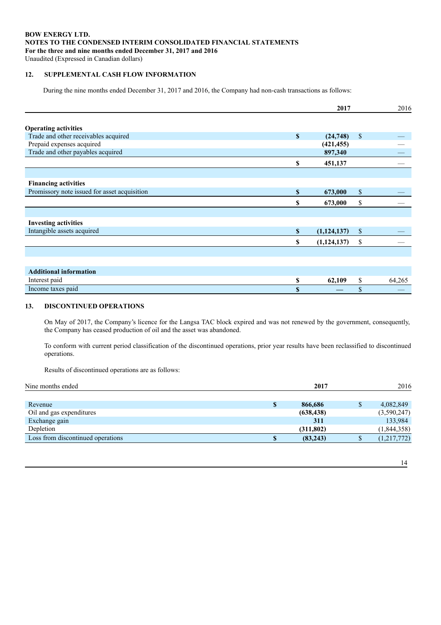# **BOW ENERGY LTD. NOTES TO THE CONDENSED INTERIM CONSOLIDATED FINANCIAL STATEMENTS For the three and nine months ended December 31, 2017 and 2016**

Unaudited (Expressed in Canadian dollars)

# **12. SUPPLEMENTAL CASH FLOW INFORMATION**

During the nine months ended December 31, 2017 and 2016, the Company had non-cash transactions as follows:

|                                              |              | 2017          |              | 2016   |
|----------------------------------------------|--------------|---------------|--------------|--------|
|                                              |              |               |              |        |
| <b>Operating activities</b>                  |              |               |              |        |
| Trade and other receivables acquired         | $\mathbf{s}$ | (24,748)      | $\mathbb{S}$ |        |
| Prepaid expenses acquired                    |              | (421, 455)    |              |        |
| Trade and other payables acquired            |              | 897,340       |              |        |
|                                              | \$           | 451,137       |              |        |
|                                              |              |               |              |        |
| <b>Financing activities</b>                  |              |               |              |        |
| Promissory note issued for asset acquisition | $\mathbf{s}$ | 673,000       | $\mathbb{S}$ |        |
|                                              | S            | 673,000       | \$           |        |
|                                              |              |               |              |        |
| <b>Investing activities</b>                  |              |               |              |        |
| Intangible assets acquired                   | $\mathbf{s}$ | (1, 124, 137) | $\mathbb{S}$ |        |
|                                              | \$           | (1,124,137)   | \$           |        |
|                                              |              |               |              |        |
|                                              |              |               |              |        |
| <b>Additional information</b>                |              |               |              |        |
| Interest paid                                | \$           | 62,109        | \$           | 64,265 |
| Income taxes paid                            | \$           |               | \$           |        |

# **13. DISCONTINUED OPERATIONS**

On May of 2017, the Company's licence for the Langsa TAC block expired and was not renewed by the government, consequently, the Company has ceased production of oil and the asset was abandoned.

To conform with current period classification of the discontinued operations, prior year results have been reclassified to discontinued operations.

Results of discontinued operations are as follows:

| Nine months ended                 |              | 2017       | 2016        |
|-----------------------------------|--------------|------------|-------------|
| Revenue                           | $\mathbf{s}$ | 866,686    | 4,082,849   |
| Oil and gas expenditures          |              | (638, 438) | (3,590,247) |
| Exchange gain                     |              | 311        | 133,984     |
| Depletion                         |              | (311, 802) | (1,844,358) |
| Loss from discontinued operations | S            | (83, 243)  | (1,217,772) |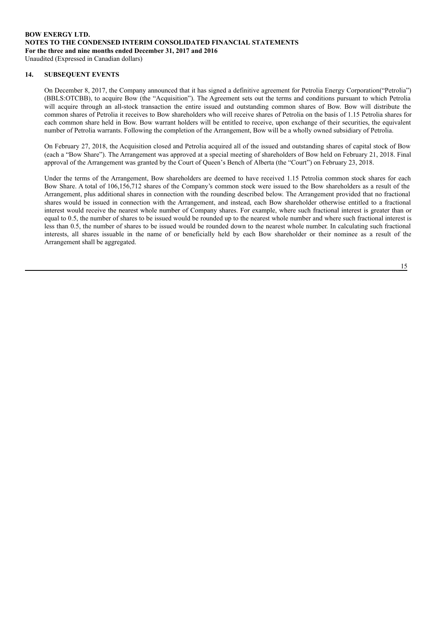#### **14. SUBSEQUENT EVENTS**

On December 8, 2017, the Company announced that it has signed a definitive agreement for Petrolia Energy Corporation("Petrolia") (BBLS:OTCBB), to acquire Bow (the "Acquisition"). The Agreement sets out the terms and conditions pursuant to which Petrolia will acquire through an all-stock transaction the entire issued and outstanding common shares of Bow. Bow will distribute the common shares of Petrolia it receives to Bow shareholders who will receive shares of Petrolia on the basis of 1.15 Petrolia shares for each common share held in Bow. Bow warrant holders will be entitled to receive, upon exchange of their securities, the equivalent number of Petrolia warrants. Following the completion of the Arrangement, Bow will be a wholly owned subsidiary of Petrolia.

On February 27, 2018, the Acquisition closed and Petrolia acquired all of the issued and outstanding shares of capital stock of Bow (each a "Bow Share"). The Arrangement was approved at a special meeting of shareholders of Bow held on February 21, 2018. Final approval of the Arrangement was granted by the Court of Queen's Bench of Alberta (the "Court") on February 23, 2018.

Under the terms of the Arrangement, Bow shareholders are deemed to have received 1.15 Petrolia common stock shares for each Bow Share. A total of 106,156,712 shares of the Company's common stock were issued to the Bow shareholders as a result of the Arrangement, plus additional shares in connection with the rounding described below. The Arrangement provided that no fractional shares would be issued in connection with the Arrangement, and instead, each Bow shareholder otherwise entitled to a fractional interest would receive the nearest whole number of Company shares. For example, where such fractional interest is greater than or equal to 0.5, the number of shares to be issued would be rounded up to the nearest whole number and where such fractional interest is less than 0.5, the number of shares to be issued would be rounded down to the nearest whole number. In calculating such fractional interests, all shares issuable in the name of or beneficially held by each Bow shareholder or their nominee as a result of the Arrangement shall be aggregated.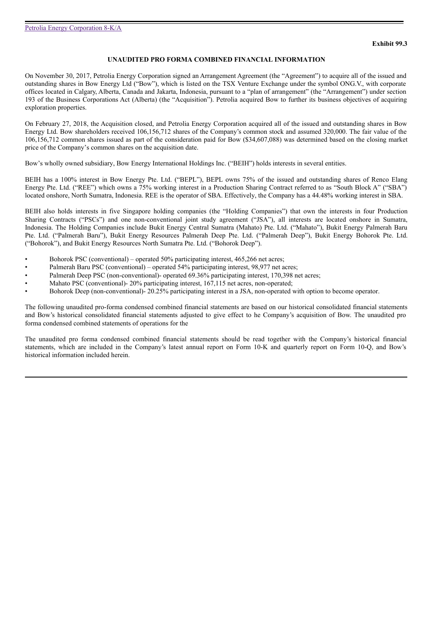#### **UNAUDITED PRO FORMA COMBINED FINANCIAL INFORMATION**

On November 30, 2017, Petrolia Energy Corporation signed an Arrangement Agreement (the "Agreement") to acquire all of the issued and outstanding shares in Bow Energy Ltd ("Bow"), which is listed on the TSX Venture Exchange under the symbol ONG.V., with corporate offices located in Calgary, Alberta, Canada and Jakarta, Indonesia, pursuant to a "plan of arrangement" (the "Arrangement") under section 193 of the Business Corporations Act (Alberta) (the "Acquisition"). Petrolia acquired Bow to further its business objectives of acquiring exploration properties.

On February 27, 2018, the Acquisition closed, and Petrolia Energy Corporation acquired all of the issued and outstanding shares in Bow Energy Ltd. Bow shareholders received 106,156,712 shares of the Company's common stock and assumed 320,000. The fair value of the 106,156,712 common shares issued as part of the consideration paid for Bow (\$34,607,088) was determined based on the closing market price of the Company's common shares on the acquisition date.

Bow's wholly owned subsidiary, Bow Energy International Holdings Inc. ("BEIH") holds interests in several entities.

BEIH has a 100% interest in Bow Energy Pte. Ltd. ("BEPL"), BEPL owns 75% of the issued and outstanding shares of Renco Elang Energy Pte. Ltd. ("REE") which owns a 75% working interest in a Production Sharing Contract referred to as "South Block A" ("SBA") located onshore, North Sumatra, Indonesia. REE is the operator of SBA. Effectively, the Company has a 44.48% working interest in SBA.

BEIH also holds interests in five Singapore holding companies (the "Holding Companies") that own the interests in four Production Sharing Contracts ("PSCs") and one non-conventional joint study agreement ("JSA"), all interests are located onshore in Sumatra, Indonesia. The Holding Companies include Bukit Energy Central Sumatra (Mahato) Pte. Ltd. ("Mahato"), Bukit Energy Palmerah Baru Pte. Ltd. ("Palmerah Baru"), Bukit Energy Resources Palmerah Deep Pte. Ltd. ("Palmerah Deep"), Bukit Energy Bohorok Pte. Ltd. ("Bohorok"), and Bukit Energy Resources North Sumatra Pte. Ltd. ("Bohorok Deep").

- Bohorok PSC (conventional) operated 50% participating interest, 465,266 net acres;
- Palmerah Baru PSC (conventional) operated 54% participating interest, 98,977 net acres;
- Palmerah Deep PSC (non-conventional)- operated 69.36% participating interest, 170,398 net acres;
- Mahato PSC (conventional)- 20% participating interest, 167,115 net acres, non-operated;
- Bohorok Deep (non-conventional)- 20.25% participating interest in a JSA, non-operated with option to become operator.

The following unaudited pro-forma condensed combined financial statements are based on our historical consolidated financial statements and Bow's historical consolidated financial statements adjusted to give effect to he Company's acquisition of Bow. The unaudited pro forma condensed combined statements of operations for the

The unaudited pro forma condensed combined financial statements should be read together with the Company's historical financial statements, which are included in the Company's latest annual report on Form 10-K and quarterly report on Form 10-Q, and Bow's historical information included herein.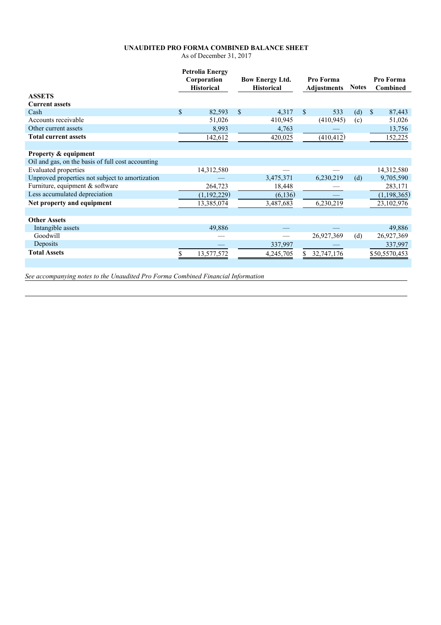# **UNAUDITED PRO FORMA COMBINED BALANCE SHEET**

As of December 31, 2017

|                                                   | <b>Petrolia Energy</b><br>Corporation<br><b>Historical</b> |               | <b>Bow Energy Ltd.</b><br><b>Historical</b> |               | Pro Forma<br><b>Adjustments</b> |     | <b>Notes</b> | Pro Forma<br>Combined |
|---------------------------------------------------|------------------------------------------------------------|---------------|---------------------------------------------|---------------|---------------------------------|-----|--------------|-----------------------|
| <b>ASSETS</b>                                     |                                                            |               |                                             |               |                                 |     |              |                       |
| <b>Current assets</b>                             |                                                            |               |                                             |               |                                 |     |              |                       |
| Cash                                              | \$<br>82,593                                               | $\mathcal{S}$ | 4,317                                       | <sup>\$</sup> | 533                             | (d) | $\mathbf S$  | 87,443                |
| Accounts receivable                               | 51,026                                                     |               | 410,945                                     |               | (410, 945)                      | (c) |              | 51,026                |
| Other current assets                              | 8,993                                                      |               | 4,763                                       |               |                                 |     |              | 13,756                |
| <b>Total current assets</b>                       | 142,612                                                    |               | 420,025                                     |               | (410, 412)                      |     |              | 152,225               |
|                                                   |                                                            |               |                                             |               |                                 |     |              |                       |
| <b>Property &amp; equipment</b>                   |                                                            |               |                                             |               |                                 |     |              |                       |
| Oil and gas, on the basis of full cost accounting |                                                            |               |                                             |               |                                 |     |              |                       |
| <b>Evaluated properties</b>                       | 14,312,580                                                 |               |                                             |               |                                 |     |              | 14,312,580            |
| Unproved properties not subject to amortization   |                                                            |               | 3,475,371                                   |               | 6,230,219                       | (d) |              | 9,705,590             |
| Furniture, equipment & software                   | 264,723                                                    |               | 18,448                                      |               |                                 |     |              | 283,171               |
| Less accumulated depreciation                     | (1,192,229)                                                |               | (6, 136)                                    |               |                                 |     |              | (1,198,365)           |
| Net property and equipment                        | 13,385,074                                                 |               | 3,487,683                                   |               | 6,230,219                       |     |              | 23,102,976            |
|                                                   |                                                            |               |                                             |               |                                 |     |              |                       |
| <b>Other Assets</b>                               |                                                            |               |                                             |               |                                 |     |              |                       |
| Intangible assets                                 | 49,886                                                     |               |                                             |               |                                 |     |              | 49,886                |
| Goodwill                                          |                                                            |               |                                             |               | 26,927,369                      | (d) |              | 26,927,369            |
| Deposits                                          |                                                            |               | 337,997                                     |               |                                 |     |              | 337,997               |
| <b>Total Assets</b>                               | 13,577,572                                                 |               | 4,245,705                                   |               | 32,747,176                      |     |              | \$50,5570,453         |
|                                                   |                                                            |               |                                             |               |                                 |     |              |                       |

*See accompanying notes to the Unaudited Pro Forma Combined Financial Information*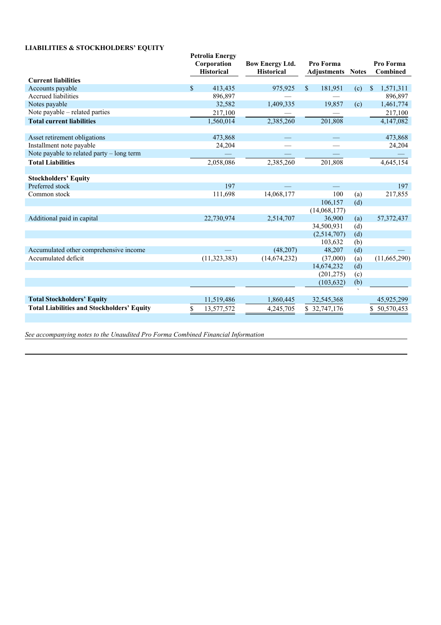# **LIABILITIES & STOCKHOLDERS' EQUITY**

|                                                   | <b>Petrolia Energy</b><br>Corporation<br><b>Historical</b> | <b>Bow Energy Ltd.</b><br><b>Historical</b> |              | Pro Forma<br>Adjustments | <b>Notes</b> | Pro Forma<br>Combined |
|---------------------------------------------------|------------------------------------------------------------|---------------------------------------------|--------------|--------------------------|--------------|-----------------------|
| <b>Current liabilities</b>                        |                                                            |                                             |              |                          |              |                       |
| Accounts payable                                  | \$<br>413,435                                              | 975,925                                     | $\mathbb{S}$ | 181,951                  | (c)          | \$<br>1,571,311       |
| Accrued liabilities                               | 896,897                                                    |                                             |              |                          |              | 896,897               |
| Notes payable                                     | 32,582                                                     | 1,409,335                                   |              | 19.857                   | (c)          | 1,461,774             |
| Note payable – related parties                    | 217,100                                                    |                                             |              |                          |              | 217,100               |
| <b>Total current liabilities</b>                  | 1,560,014                                                  | 2,385,260                                   |              | 201,808                  |              | 4,147,082             |
|                                                   |                                                            |                                             |              |                          |              |                       |
| Asset retirement obligations                      | 473,868                                                    |                                             |              |                          |              | 473,868               |
| Installment note payable                          | 24,204                                                     |                                             |              |                          |              | 24,204                |
| Note payable to related party - long term         |                                                            |                                             |              |                          |              |                       |
| <b>Total Liabilities</b>                          | 2,058,086                                                  | 2,385,260                                   |              | 201,808                  |              | 4,645,154             |
|                                                   |                                                            |                                             |              |                          |              |                       |
| <b>Stockholders' Equity</b>                       |                                                            |                                             |              |                          |              |                       |
| Preferred stock                                   | 197                                                        |                                             |              |                          |              | 197                   |
| Common stock                                      | 111,698                                                    | 14,068,177                                  |              | 100                      | (a)          | 217,855               |
|                                                   |                                                            |                                             |              | 106,157                  | (d)          |                       |
|                                                   |                                                            |                                             |              | (14,068,177)             |              |                       |
| Additional paid in capital                        | 22,730,974                                                 | 2,514,707                                   |              | 36,900                   | (a)          | 57, 372, 437          |
|                                                   |                                                            |                                             |              | 34,500,931               | (d)          |                       |
|                                                   |                                                            |                                             |              | (2,514,707)              | (d)          |                       |
|                                                   |                                                            |                                             |              | 103,632                  | (b)          |                       |
| Accumulated other comprehensive income            |                                                            | (48,207)                                    |              | 48,207                   | (d)          |                       |
| Accumulated deficit                               | (11, 323, 383)                                             | (14,674,232)                                |              | (37,000)                 | (a)          | (11,665,290)          |
|                                                   |                                                            |                                             |              | 14,674,232               | (d)          |                       |
|                                                   |                                                            |                                             |              | (201, 275)               | (c)          |                       |
|                                                   |                                                            |                                             |              | (103, 632)               | (b)          |                       |
|                                                   |                                                            |                                             |              |                          |              |                       |
| <b>Total Stockholders' Equity</b>                 | 11,519,486                                                 | 1,860,445                                   |              | 32,545,368               |              | 45,925,299            |
| <b>Total Liabilities and Stockholders' Equity</b> | 13,577,572                                                 | 4,245,705                                   |              | \$32,747,176             |              | 50,570,453            |
|                                                   |                                                            |                                             |              |                          |              |                       |

*See accompanying notes to the Unaudited Pro Forma Combined Financial Information*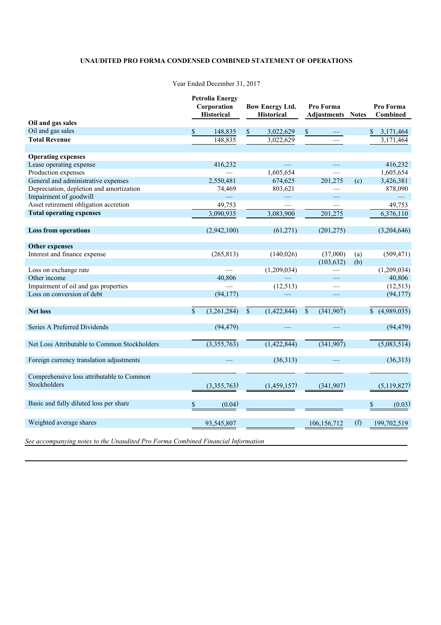# **UNAUDITED PRO FORMA CONDENSED COMBINED STATEMENT OF OPERATIONS**

|                                                                                  |              | <b>Petrolia Energy</b><br>Corporation<br><b>Historical</b> |               | <b>Bow Energy Ltd.</b><br><b>Historical</b> |                           | Pro Forma<br><b>Adjustments</b> | <b>Notes</b> | Pro Forma<br>Combined |
|----------------------------------------------------------------------------------|--------------|------------------------------------------------------------|---------------|---------------------------------------------|---------------------------|---------------------------------|--------------|-----------------------|
| Oil and gas sales                                                                |              |                                                            |               |                                             |                           |                                 |              |                       |
| Oil and gas sales                                                                | \$           | 148,835                                                    | \$            | 3,022,629                                   | \$                        |                                 |              | \$<br>3,171,464       |
| <b>Total Revenue</b>                                                             |              | 148,835                                                    |               | 3,022,629                                   |                           |                                 |              | 3,171,464             |
| <b>Operating expenses</b>                                                        |              |                                                            |               |                                             |                           |                                 |              |                       |
| Lease operating expense                                                          |              | 416,232                                                    |               |                                             |                           |                                 |              | 416,232               |
| Production expenses                                                              |              |                                                            |               | 1,605,654                                   |                           |                                 |              | 1,605,654             |
| General and administrative expenses                                              |              | 2,550,481                                                  |               | 674,625                                     |                           | 201,275                         | (c)          | 3,426,381             |
| Depreciation, depletion and amortization                                         |              | 74,469                                                     |               | 803,621                                     |                           |                                 |              | 878,090               |
| Impairment of goodwill                                                           |              |                                                            |               |                                             |                           |                                 |              |                       |
| Asset retirement obligation accretion                                            |              | 49,753                                                     |               |                                             |                           |                                 |              | 49,753                |
| <b>Total operating expenses</b>                                                  |              | 3,090,935                                                  |               | 3,083,900                                   |                           | 201,275                         |              | 6,376,110             |
| <b>Loss from operations</b>                                                      |              | (2,942,100)                                                |               | (61,271)                                    |                           | (201, 275)                      |              | (3,204,646)           |
| <b>Other expenses</b>                                                            |              |                                                            |               |                                             |                           |                                 |              |                       |
| Interest and finance expense                                                     |              | (265, 813)                                                 |               | (140, 026)                                  |                           | (37,000)                        | (a)          | (509, 471)            |
|                                                                                  |              |                                                            |               |                                             |                           | (103, 632)                      | (b)          |                       |
| Loss on exchange rate                                                            |              |                                                            |               | (1,209,034)                                 |                           |                                 |              | (1,209,034)           |
| Other income                                                                     |              | 40,806                                                     |               |                                             |                           |                                 |              | 40,806                |
| Impairment of oil and gas properties                                             |              |                                                            |               | (12, 513)                                   |                           |                                 |              | (12, 513)             |
| Loss on conversion of debt                                                       |              | (94, 177)                                                  |               |                                             |                           |                                 |              | (94, 177)             |
| <b>Net loss</b>                                                                  | $\mathbb{S}$ | (3,261,284)                                                | $\mathcal{S}$ | (1,422,844)                                 | $\boldsymbol{\mathsf{S}}$ | (341, 907)                      |              | (4,989,035)           |
| Series A Preferred Dividends                                                     |              | (94, 479)                                                  |               |                                             |                           |                                 |              | (94, 479)             |
|                                                                                  |              |                                                            |               |                                             |                           |                                 |              |                       |
| Net Loss Attributable to Common Stockholders                                     |              | (3,355,763)                                                |               | (1,422,844)                                 |                           | (341, 907)                      |              | (5,083,514)           |
| Foreign currency translation adjustments                                         |              |                                                            |               | (36,313)                                    |                           |                                 |              | (36,313)              |
| Comprehensive loss attributable to Common<br>Stockholders                        |              | (3,355,763)                                                |               | (1,459,157)                                 |                           | (341,907)                       |              | (5,119,827)           |
|                                                                                  |              |                                                            |               |                                             |                           |                                 |              |                       |
| Basic and fully diluted loss per share                                           | \$           | (0.04)                                                     |               |                                             |                           |                                 |              | \$<br>(0.03)          |
| Weighted average shares                                                          |              | 93,545,807                                                 |               |                                             |                           | 106,156,712                     | (f)          | 199,702,519           |
| See accompanying notes to the Unaudited Pro Forma Combined Financial Information |              |                                                            |               |                                             |                           |                                 |              |                       |

# Year Ended December 31, 2017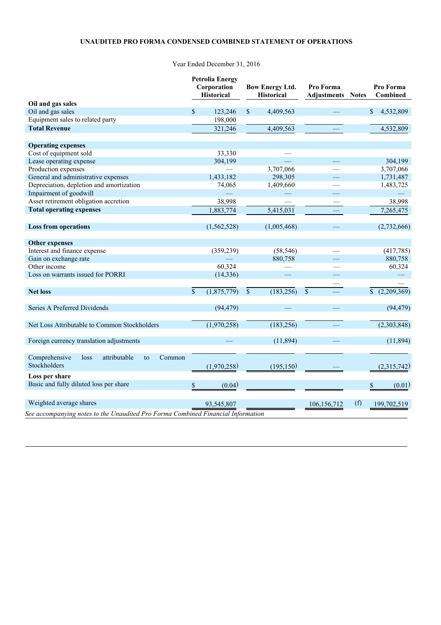# **UNAUDITED PRO FORMA CONDENSED COMBINED STATEMENT OF OPERATIONS**

Year Ended December 31, 2016

| Oil and gas sales<br>Oil and gas sales<br>\$<br>123,246<br>$\mathbb{S}$<br>4,409,563<br>$\mathbb{S}$<br>4,532,809<br>Equipment sales to related party<br>198,000<br><b>Total Revenue</b><br>321,246<br>4,532,809<br>4,409,563<br><b>Operating expenses</b><br>Cost of equipment sold<br>33,330<br>二<br>Lease operating expense<br>304,199<br>304,199<br>═<br>Production expenses<br>3,707,066<br>3,707,066<br>General and administrative expenses<br>1,433,182<br>298,305<br>1,731,487<br>Depreciation, depletion and amortization<br>1,409,660<br>74,065<br>1,483,725<br>Impairment of goodwill<br>Asset retirement obligation accretion<br>38,998<br>38,998<br><b>Total operating expenses</b><br>1,883,774<br>5,415,031<br>7,265,475<br><b>Loss from operations</b><br>(1, 562, 528)<br>(1,005,468)<br><b>Other expenses</b><br>Interest and finance expense<br>(359, 239)<br>(58, 546)<br>(417,785)<br>Gain on exchange rate<br>880,758<br>880,758<br>60,324<br>Other income<br>60,324<br>Loss on warrants issued for PORRI<br>(14, 336) |  | <b>Petrolia Energy</b><br>Corporation<br><b>Historical</b> | <b>Bow Energy Ltd.</b><br><b>Historical</b> | Pro Forma<br><b>Adjustments Notes</b> | Pro Forma<br><b>Combined</b> |
|----------------------------------------------------------------------------------------------------------------------------------------------------------------------------------------------------------------------------------------------------------------------------------------------------------------------------------------------------------------------------------------------------------------------------------------------------------------------------------------------------------------------------------------------------------------------------------------------------------------------------------------------------------------------------------------------------------------------------------------------------------------------------------------------------------------------------------------------------------------------------------------------------------------------------------------------------------------------------------------------------------------------------------------------|--|------------------------------------------------------------|---------------------------------------------|---------------------------------------|------------------------------|
|                                                                                                                                                                                                                                                                                                                                                                                                                                                                                                                                                                                                                                                                                                                                                                                                                                                                                                                                                                                                                                              |  |                                                            |                                             |                                       |                              |
|                                                                                                                                                                                                                                                                                                                                                                                                                                                                                                                                                                                                                                                                                                                                                                                                                                                                                                                                                                                                                                              |  |                                                            |                                             |                                       |                              |
|                                                                                                                                                                                                                                                                                                                                                                                                                                                                                                                                                                                                                                                                                                                                                                                                                                                                                                                                                                                                                                              |  |                                                            |                                             |                                       |                              |
|                                                                                                                                                                                                                                                                                                                                                                                                                                                                                                                                                                                                                                                                                                                                                                                                                                                                                                                                                                                                                                              |  |                                                            |                                             |                                       |                              |
|                                                                                                                                                                                                                                                                                                                                                                                                                                                                                                                                                                                                                                                                                                                                                                                                                                                                                                                                                                                                                                              |  |                                                            |                                             |                                       |                              |
|                                                                                                                                                                                                                                                                                                                                                                                                                                                                                                                                                                                                                                                                                                                                                                                                                                                                                                                                                                                                                                              |  |                                                            |                                             |                                       |                              |
|                                                                                                                                                                                                                                                                                                                                                                                                                                                                                                                                                                                                                                                                                                                                                                                                                                                                                                                                                                                                                                              |  |                                                            |                                             |                                       |                              |
|                                                                                                                                                                                                                                                                                                                                                                                                                                                                                                                                                                                                                                                                                                                                                                                                                                                                                                                                                                                                                                              |  |                                                            |                                             |                                       |                              |
|                                                                                                                                                                                                                                                                                                                                                                                                                                                                                                                                                                                                                                                                                                                                                                                                                                                                                                                                                                                                                                              |  |                                                            |                                             |                                       |                              |
|                                                                                                                                                                                                                                                                                                                                                                                                                                                                                                                                                                                                                                                                                                                                                                                                                                                                                                                                                                                                                                              |  |                                                            |                                             |                                       |                              |
|                                                                                                                                                                                                                                                                                                                                                                                                                                                                                                                                                                                                                                                                                                                                                                                                                                                                                                                                                                                                                                              |  |                                                            |                                             |                                       |                              |
|                                                                                                                                                                                                                                                                                                                                                                                                                                                                                                                                                                                                                                                                                                                                                                                                                                                                                                                                                                                                                                              |  |                                                            |                                             |                                       |                              |
|                                                                                                                                                                                                                                                                                                                                                                                                                                                                                                                                                                                                                                                                                                                                                                                                                                                                                                                                                                                                                                              |  |                                                            |                                             |                                       |                              |
|                                                                                                                                                                                                                                                                                                                                                                                                                                                                                                                                                                                                                                                                                                                                                                                                                                                                                                                                                                                                                                              |  |                                                            |                                             |                                       |                              |
|                                                                                                                                                                                                                                                                                                                                                                                                                                                                                                                                                                                                                                                                                                                                                                                                                                                                                                                                                                                                                                              |  |                                                            |                                             |                                       | (2,732,666)                  |
|                                                                                                                                                                                                                                                                                                                                                                                                                                                                                                                                                                                                                                                                                                                                                                                                                                                                                                                                                                                                                                              |  |                                                            |                                             |                                       |                              |
|                                                                                                                                                                                                                                                                                                                                                                                                                                                                                                                                                                                                                                                                                                                                                                                                                                                                                                                                                                                                                                              |  |                                                            |                                             |                                       |                              |
|                                                                                                                                                                                                                                                                                                                                                                                                                                                                                                                                                                                                                                                                                                                                                                                                                                                                                                                                                                                                                                              |  |                                                            |                                             |                                       |                              |
|                                                                                                                                                                                                                                                                                                                                                                                                                                                                                                                                                                                                                                                                                                                                                                                                                                                                                                                                                                                                                                              |  |                                                            |                                             |                                       |                              |
|                                                                                                                                                                                                                                                                                                                                                                                                                                                                                                                                                                                                                                                                                                                                                                                                                                                                                                                                                                                                                                              |  |                                                            |                                             |                                       |                              |
|                                                                                                                                                                                                                                                                                                                                                                                                                                                                                                                                                                                                                                                                                                                                                                                                                                                                                                                                                                                                                                              |  |                                                            |                                             |                                       |                              |
| $\mathbb{S}$<br>(1,875,779)<br>$\mathbb{S}$<br>(183, 256)<br>$\mathcal{S}$<br><b>Net loss</b>                                                                                                                                                                                                                                                                                                                                                                                                                                                                                                                                                                                                                                                                                                                                                                                                                                                                                                                                                |  |                                                            |                                             |                                       | (2,209,369)                  |
| Series A Preferred Dividends<br>(94, 479)                                                                                                                                                                                                                                                                                                                                                                                                                                                                                                                                                                                                                                                                                                                                                                                                                                                                                                                                                                                                    |  |                                                            |                                             |                                       | (94, 479)                    |
|                                                                                                                                                                                                                                                                                                                                                                                                                                                                                                                                                                                                                                                                                                                                                                                                                                                                                                                                                                                                                                              |  |                                                            |                                             |                                       |                              |
| (1,970,258)<br>(183, 256)<br>Net Loss Attributable to Common Stockholders                                                                                                                                                                                                                                                                                                                                                                                                                                                                                                                                                                                                                                                                                                                                                                                                                                                                                                                                                                    |  |                                                            |                                             |                                       | (2,303,848)                  |
| (11, 894)<br>Foreign currency translation adjustments                                                                                                                                                                                                                                                                                                                                                                                                                                                                                                                                                                                                                                                                                                                                                                                                                                                                                                                                                                                        |  |                                                            |                                             |                                       | (11, 894)                    |
|                                                                                                                                                                                                                                                                                                                                                                                                                                                                                                                                                                                                                                                                                                                                                                                                                                                                                                                                                                                                                                              |  |                                                            |                                             |                                       |                              |
| Comprehensive<br>attributable<br>loss<br>Common<br>to                                                                                                                                                                                                                                                                                                                                                                                                                                                                                                                                                                                                                                                                                                                                                                                                                                                                                                                                                                                        |  |                                                            |                                             |                                       |                              |
| Stockholders<br>(1,970,258)<br>(195, 150)                                                                                                                                                                                                                                                                                                                                                                                                                                                                                                                                                                                                                                                                                                                                                                                                                                                                                                                                                                                                    |  |                                                            |                                             |                                       | (2,315,742)                  |
| Loss per share                                                                                                                                                                                                                                                                                                                                                                                                                                                                                                                                                                                                                                                                                                                                                                                                                                                                                                                                                                                                                               |  |                                                            |                                             |                                       |                              |
| Basic and fully diluted loss per share<br>\$<br>(0.04)<br>\$                                                                                                                                                                                                                                                                                                                                                                                                                                                                                                                                                                                                                                                                                                                                                                                                                                                                                                                                                                                 |  |                                                            |                                             |                                       | (0.01)                       |
| Weighted average shares<br>(f)<br>93,545,807<br>106,156,712<br>199,702,519                                                                                                                                                                                                                                                                                                                                                                                                                                                                                                                                                                                                                                                                                                                                                                                                                                                                                                                                                                   |  |                                                            |                                             |                                       |                              |
| See accompanying notes to the Unaudited Pro Forma Combined Financial Information                                                                                                                                                                                                                                                                                                                                                                                                                                                                                                                                                                                                                                                                                                                                                                                                                                                                                                                                                             |  |                                                            |                                             |                                       |                              |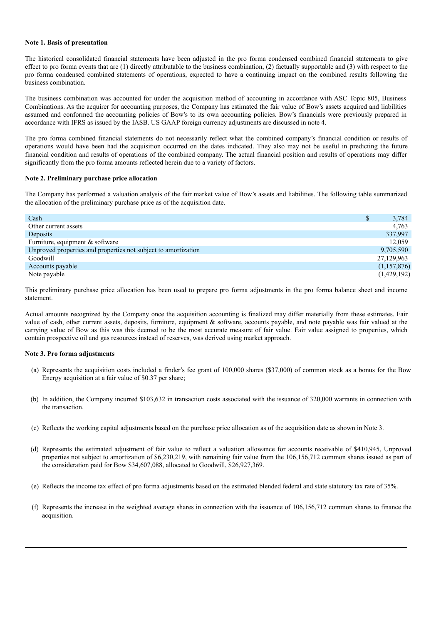#### **Note 1. Basis of presentation**

The historical consolidated financial statements have been adjusted in the pro forma condensed combined financial statements to give effect to pro forma events that are (1) directly attributable to the business combination, (2) factually supportable and (3) with respect to the pro forma condensed combined statements of operations, expected to have a continuing impact on the combined results following the business combination.

The business combination was accounted for under the acquisition method of accounting in accordance with ASC Topic 805, Business Combinations. As the acquirer for accounting purposes, the Company has estimated the fair value of Bow's assets acquired and liabilities assumed and conformed the accounting policies of Bow's to its own accounting policies. Bow's financials were previously prepared in accordance with IFRS as issued by the IASB. US GAAP foreign currency adjustments are discussed in note 4.

The pro forma combined financial statements do not necessarily reflect what the combined company's financial condition or results of operations would have been had the acquisition occurred on the dates indicated. They also may not be useful in predicting the future financial condition and results of operations of the combined company. The actual financial position and results of operations may differ significantly from the pro forma amounts reflected herein due to a variety of factors.

#### **Note 2. Preliminary purchase price allocation**

The Company has performed a valuation analysis of the fair market value of Bow's assets and liabilities. The following table summarized the allocation of the preliminary purchase price as of the acquisition date.

| Cash                                                           | S | 3,784       |
|----------------------------------------------------------------|---|-------------|
| Other current assets                                           |   | 4.763       |
| Deposits                                                       |   | 337,997     |
| Furniture, equipment $&$ software                              |   | 12.059      |
| Unproved properties and properties not subject to amortization |   | 9,705,590   |
| Goodwill                                                       |   | 27,129,963  |
| Accounts payable                                               |   | (1,157,876) |
| Note payable                                                   |   | (1,429,192) |
|                                                                |   |             |

This preliminary purchase price allocation has been used to prepare pro forma adjustments in the pro forma balance sheet and income statement.

Actual amounts recognized by the Company once the acquisition accounting is finalized may differ materially from these estimates. Fair value of cash, other current assets, deposits, furniture, equipment & software, accounts payable, and note payable was fair valued at the carrying value of Bow as this was this deemed to be the most accurate measure of fair value. Fair value assigned to properties, which contain prospective oil and gas resources instead of reserves, was derived using market approach.

#### **Note 3. Pro forma adjustments**

- (a) Represents the acquisition costs included a finder's fee grant of 100,000 shares (\$37,000) of common stock as a bonus for the Bow Energy acquisition at a fair value of \$0.37 per share;
- (b) In addition, the Company incurred \$103,632 in transaction costs associated with the issuance of 320,000 warrants in connection with the transaction.
- (c) Reflects the working capital adjustments based on the purchase price allocation as of the acquisition date as shown in Note 3.
- (d) Represents the estimated adjustment of fair value to reflect a valuation allowance for accounts receivable of \$410,945, Unproved properties not subject to amortization of \$6,230,219, with remaining fair value from the 106,156,712 common shares issued as part of the consideration paid for Bow \$34,607,088, allocated to Goodwill, \$26,927,369.
- (e) Reflects the income tax effect of pro forma adjustments based on the estimated blended federal and state statutory tax rate of 35%.
- (f) Represents the increase in the weighted average shares in connection with the issuance of 106,156,712 common shares to finance the acquisition.